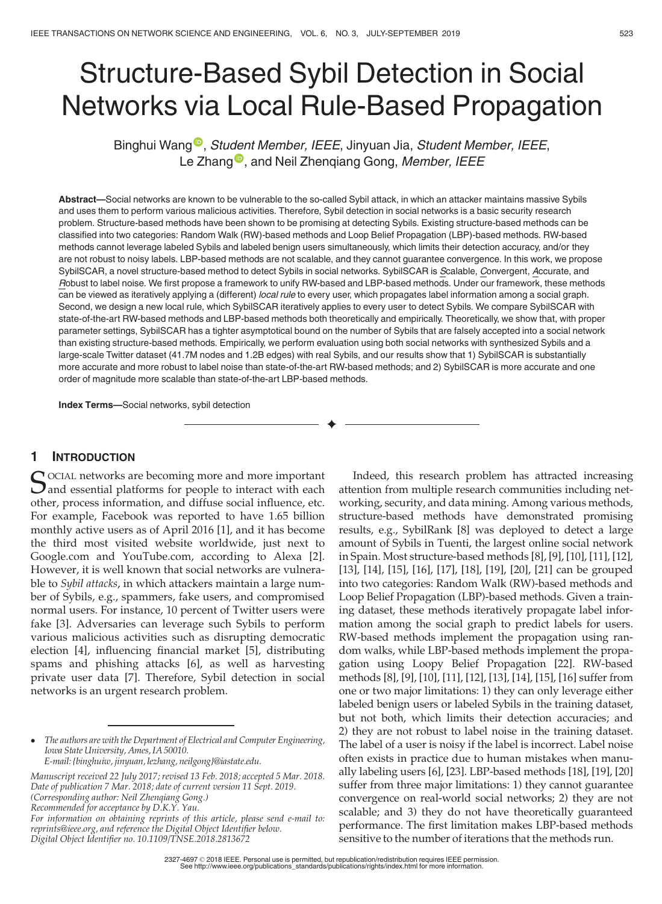# Structure-Based Sybil Detection in Social Networks via Local Rule-Based Propagation

Bin[g](https://orcid.org/0000-0001-5616-060X)hui Wang<sup>®</sup>, Stu[d](https://orcid.org/0000-0002-1798-9666)ent Member, IEEE, Jinyuan Jia, Student Member, IEEE, Le Zhang<sup>®</sup>, and Neil Zhengiang Gong, Member, IEEE

Abstract—Social networks are known to be vulnerable to the so-called Sybil attack, in which an attacker maintains massive Sybils and uses them to perform various malicious activities. Therefore, Sybil detection in social networks is a basic security research problem. Structure-based methods have been shown to be promising at detecting Sybils. Existing structure-based methods can be classified into two categories: Random Walk (RW)-based methods and Loop Belief Propagation (LBP)-based methods. RW-based methods cannot leverage labeled Sybils and labeled benign users simultaneously, which limits their detection accuracy, and/or they are not robust to noisy labels. LBP-based methods are not scalable, and they cannot guarantee convergence. In this work, we propose SybilSCAR, a novel structure-based method to detect Sybils in social networks. SybilSCAR is Scalable, Convergent, Accurate, and Robust to label noise. We first propose a framework to unify RW-based and LBP-based methods. Under our framework, these methods can be viewed as iteratively applying a (different) local rule to every user, which propagates label information among a social graph. Second, we design a new local rule, which SybilSCAR iteratively applies to every user to detect Sybils. We compare SybilSCAR with state-of-the-art RW-based methods and LBP-based methods both theoretically and empirically. Theoretically, we show that, with proper parameter settings, SybilSCAR has a tighter asymptotical bound on the number of Sybils that are falsely accepted into a social network than existing structure-based methods. Empirically, we perform evaluation using both social networks with synthesized Sybils and a large-scale Twitter dataset (41.7M nodes and 1.2B edges) with real Sybils, and our results show that 1) SybilSCAR is substantially more accurate and more robust to label noise than state-of-the-art RW-based methods; and 2) SybilSCAR is more accurate and one order of magnitude more scalable than state-of-the-art LBP-based methods.

 $\bigstar$ 

Index Terms—Social networks, sybil detection

# 1 INTRODUCTION

SOCIAL networks are becoming more and more important<br>and essential platforms for people to interact with each<br>ather graces information, and diffuse social influence, ato other, process information, and diffuse social influence, etc. For example, Facebook was reported to have 1.65 billion monthly active users as of April 2016 [1], and it has become the third most visited website worldwide, just next to Google.com and YouTube.com, according to Alexa [2]. However, it is well known that social networks are vulnerable to *Sybil attacks*, in which attackers maintain a large number of Sybils, e.g., spammers, fake users, and compromised normal users. For instance, 10 percent of Twitter users were fake [3]. Adversaries can leverage such Sybils to perform various malicious activities such as disrupting democratic election [4], influencing financial market [5], distributing spams and phishing attacks [6], as well as harvesting private user data [7]. Therefore, Sybil detection in social networks is an urgent research problem.

Manuscript received 22 July 2017; revised 13 Feb. 2018; accepted 5 Mar. 2018. Date of publication 7 Mar. 2018; date of current version 11 Sept. 2019. (Corresponding author: Neil Zhenqiang Gong.) Recommended for acceptance by D.K.Y. Yau.

For information on obtaining reprints of this article, please send e-mail to: reprints@ieee.org, and reference the Digital Object Identifier below. Digital Object Identifier no. 10.1109/TNSE.2018.2813672

Indeed, this research problem has attracted increasing attention from multiple research communities including networking, security, and data mining. Among various methods, structure-based methods have demonstrated promising results, e.g., SybilRank [8] was deployed to detect a large amount of Sybils in Tuenti, the largest online social network in Spain. Most structure-based methods [8], [9], [10], [11], [12], [13], [14], [15], [16], [17], [18], [19], [20], [21] can be grouped into two categories: Random Walk (RW)-based methods and Loop Belief Propagation (LBP)-based methods. Given a training dataset, these methods iteratively propagate label information among the social graph to predict labels for users. RW-based methods implement the propagation using random walks, while LBP-based methods implement the propagation using Loopy Belief Propagation [22]. RW-based methods [8], [9], [10], [11], [12], [13], [14], [15], [16] suffer from one or two major limitations: 1) they can only leverage either labeled benign users or labeled Sybils in the training dataset, but not both, which limits their detection accuracies; and 2) they are not robust to label noise in the training dataset. The label of a user is noisy if the label is incorrect. Label noise often exists in practice due to human mistakes when manually labeling users [6], [23]. LBP-based methods [18], [19], [20] suffer from three major limitations: 1) they cannot guarantee convergence on real-world social networks; 2) they are not scalable; and 3) they do not have theoretically guaranteed performance. The first limitation makes LBP-based methods sensitive to the number of iterations that the methods run.

<sup>•</sup> The authors are with the Department of Electrical and Computer Engineering, Iowa State University, Ames, IA 50010. E-mail: {[binghuiw, jinyuan, lezhang, neilgong}@iastate.edu](mailto:).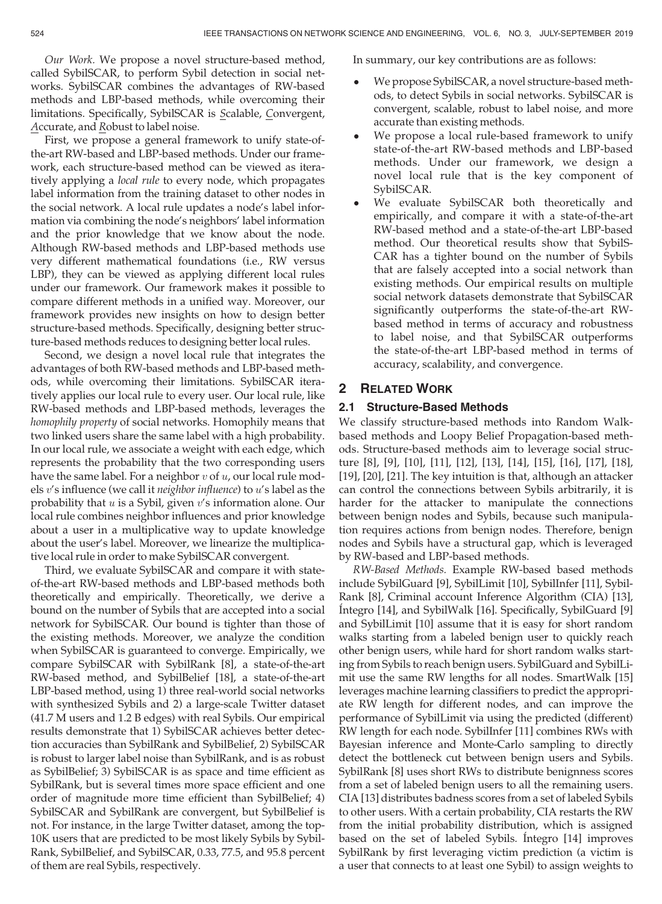First, we propose a general framework to unify state-ofthe-art RW-based and LBP-based methods. Under our framework, each structure-based method can be viewed as iteratively applying a local rule to every node, which propagates label information from the training dataset to other nodes in the social network. A local rule updates a node's label information via combining the node's neighbors' label information and the prior knowledge that we know about the node. Although RW-based methods and LBP-based methods use very different mathematical foundations (i.e., RW versus LBP), they can be viewed as applying different local rules under our framework. Our framework makes it possible to compare different methods in a unified way. Moreover, our framework provides new insights on how to design better structure-based methods. Specifically, designing better structure-based methods reduces to designing better local rules.

Second, we design a novel local rule that integrates the advantages of both RW-based methods and LBP-based methods, while overcoming their limitations. SybilSCAR iteratively applies our local rule to every user. Our local rule, like RW-based methods and LBP-based methods, leverages the homophily property of social networks. Homophily means that two linked users share the same label with a high probability. In our local rule, we associate a weight with each edge, which represents the probability that the two corresponding users have the same label. For a neighbor  $v$  of  $u$ , our local rule models v's influence (we call it neighbor influence) to u's label as the probability that  $u$  is a Sybil, given  $v'$ s information alone. Our local rule combines neighbor influences and prior knowledge about a user in a multiplicative way to update knowledge about the user's label. Moreover, we linearize the multiplicative local rule in order to make SybilSCAR convergent.

Third, we evaluate SybilSCAR and compare it with stateof-the-art RW-based methods and LBP-based methods both theoretically and empirically. Theoretically, we derive a bound on the number of Sybils that are accepted into a social network for SybilSCAR. Our bound is tighter than those of the existing methods. Moreover, we analyze the condition when SybilSCAR is guaranteed to converge. Empirically, we compare SybilSCAR with SybilRank [8], a state-of-the-art RW-based method, and SybilBelief [18], a state-of-the-art LBP-based method, using 1) three real-world social networks with synthesized Sybils and 2) a large-scale Twitter dataset (41.7 M users and 1.2 B edges) with real Sybils. Our empirical results demonstrate that 1) SybilSCAR achieves better detection accuracies than SybilRank and SybilBelief, 2) SybilSCAR is robust to larger label noise than SybilRank, and is as robust as SybilBelief; 3) SybilSCAR is as space and time efficient as SybilRank, but is several times more space efficient and one order of magnitude more time efficient than SybilBelief; 4) SybilSCAR and SybilRank are convergent, but SybilBelief is not. For instance, in the large Twitter dataset, among the top-10K users that are predicted to be most likely Sybils by Sybil-Rank, SybilBelief, and SybilSCAR, 0.33, 77.5, and 95.8 percent of them are real Sybils, respectively.

In summary, our key contributions are as follows:

- We propose SybilSCAR, a novel structure-based methods, to detect Sybils in social networks. SybilSCAR is convergent, scalable, robust to label noise, and more accurate than existing methods.
- We propose a local rule-based framework to unify state-of-the-art RW-based methods and LBP-based methods. Under our framework, we design a novel local rule that is the key component of SybilSCAR.
- We evaluate SybilSCAR both theoretically and empirically, and compare it with a state-of-the-art RW-based method and a state-of-the-art LBP-based method. Our theoretical results show that SybilS-CAR has a tighter bound on the number of Sybils that are falsely accepted into a social network than existing methods. Our empirical results on multiple social network datasets demonstrate that SybilSCAR significantly outperforms the state-of-the-art RWbased method in terms of accuracy and robustness to label noise, and that SybilSCAR outperforms the state-of-the-art LBP-based method in terms of accuracy, scalability, and convergence.

# 2 RELATED WORK

## 2.1 Structure-Based Methods

We classify structure-based methods into Random Walkbased methods and Loopy Belief Propagation-based methods. Structure-based methods aim to leverage social structure [8], [9], [10], [11], [12], [13], [14], [15], [16], [17], [18], [19], [20], [21]. The key intuition is that, although an attacker can control the connections between Sybils arbitrarily, it is harder for the attacker to manipulate the connections between benign nodes and Sybils, because such manipulation requires actions from benign nodes. Therefore, benign nodes and Sybils have a structural gap, which is leveraged by RW-based and LBP-based methods.

RW-Based Methods. Example RW-based based methods include SybilGuard [9], SybilLimit [10], SybilInfer [11], Sybil-Rank [8], Criminal account Inference Algorithm (CIA) [13], Integro [14], and SybilWalk [16]. Specifically, SybilGuard [9] and SybilLimit [10] assume that it is easy for short random walks starting from a labeled benign user to quickly reach other benign users, while hard for short random walks starting from Sybils to reach benign users. SybilGuard and SybilLimit use the same RW lengths for all nodes. SmartWalk [15] leverages machine learning classifiers to predict the appropriate RW length for different nodes, and can improve the performance of SybilLimit via using the predicted (different) RW length for each node. SybilInfer [11] combines RWs with Bayesian inference and Monte-Carlo sampling to directly detect the bottleneck cut between benign users and Sybils. SybilRank [8] uses short RWs to distribute benignness scores from a set of labeled benign users to all the remaining users. CIA [13] distributes badness scores from a set of labeled Sybils to other users. With a certain probability, CIA restarts the RW from the initial probability distribution, which is assigned based on the set of labeled Sybils. Integro [14] improves SybilRank by first leveraging victim prediction (a victim is a user that connects to at least one Sybil) to assign weights to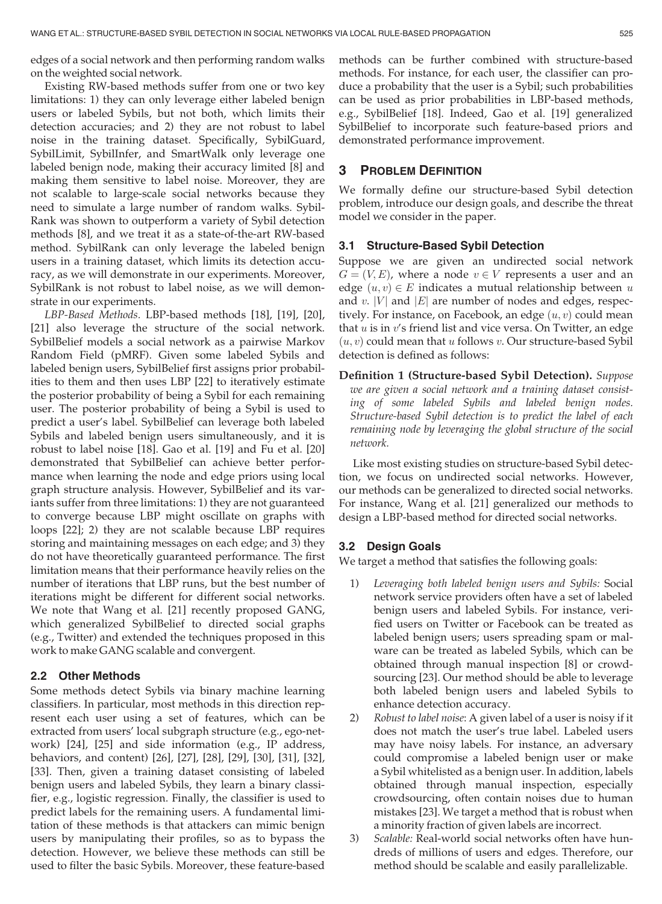edges of a social network and then performing random walks on the weighted social network.

Existing RW-based methods suffer from one or two key limitations: 1) they can only leverage either labeled benign users or labeled Sybils, but not both, which limits their detection accuracies; and 2) they are not robust to label noise in the training dataset. Specifically, SybilGuard, SybilLimit, SybilInfer, and SmartWalk only leverage one labeled benign node, making their accuracy limited [8] and making them sensitive to label noise. Moreover, they are not scalable to large-scale social networks because they need to simulate a large number of random walks. Sybil-Rank was shown to outperform a variety of Sybil detection methods [8], and we treat it as a state-of-the-art RW-based method. SybilRank can only leverage the labeled benign users in a training dataset, which limits its detection accuracy, as we will demonstrate in our experiments. Moreover, SybilRank is not robust to label noise, as we will demonstrate in our experiments.

LBP-Based Methods. LBP-based methods [18], [19], [20], [21] also leverage the structure of the social network. SybilBelief models a social network as a pairwise Markov Random Field (pMRF). Given some labeled Sybils and labeled benign users, SybilBelief first assigns prior probabilities to them and then uses LBP [22] to iteratively estimate the posterior probability of being a Sybil for each remaining user. The posterior probability of being a Sybil is used to predict a user's label. SybilBelief can leverage both labeled Sybils and labeled benign users simultaneously, and it is robust to label noise [18]. Gao et al. [19] and Fu et al. [20] demonstrated that SybilBelief can achieve better performance when learning the node and edge priors using local graph structure analysis. However, SybilBelief and its variants suffer from three limitations: 1) they are not guaranteed to converge because LBP might oscillate on graphs with loops [22]; 2) they are not scalable because LBP requires storing and maintaining messages on each edge; and 3) they do not have theoretically guaranteed performance. The first limitation means that their performance heavily relies on the number of iterations that LBP runs, but the best number of iterations might be different for different social networks. We note that Wang et al. [21] recently proposed GANG, which generalized SybilBelief to directed social graphs (e.g., Twitter) and extended the techniques proposed in this work to make GANG scalable and convergent.

# 2.2 Other Methods

Some methods detect Sybils via binary machine learning classifiers. In particular, most methods in this direction represent each user using a set of features, which can be extracted from users' local subgraph structure (e.g., ego-network) [24], [25] and side information (e.g., IP address, behaviors, and content) [26], [27], [28], [29], [30], [31], [32], [33]. Then, given a training dataset consisting of labeled benign users and labeled Sybils, they learn a binary classifier, e.g., logistic regression. Finally, the classifier is used to predict labels for the remaining users. A fundamental limitation of these methods is that attackers can mimic benign users by manipulating their profiles, so as to bypass the detection. However, we believe these methods can still be used to filter the basic Sybils. Moreover, these feature-based

methods can be further combined with structure-based methods. For instance, for each user, the classifier can produce a probability that the user is a Sybil; such probabilities can be used as prior probabilities in LBP-based methods, e.g., SybilBelief [18]. Indeed, Gao et al. [19] generalized SybilBelief to incorporate such feature-based priors and demonstrated performance improvement.

# 3 PROBLEM DEFINITION

We formally define our structure-based Sybil detection problem, introduce our design goals, and describe the threat model we consider in the paper.

## 3.1 Structure-Based Sybil Detection

Suppose we are given an undirected social network  $G = (V, E)$ , where a node  $v \in V$  represents a user and an edge  $(u, v) \in E$  indicates a mutual relationship between u and  $v$ . |V| and |E| are number of nodes and edges, respectively. For instance, on Facebook, an edge  $(u, v)$  could mean that  $u$  is in  $v$ 's friend list and vice versa. On Twitter, an edge  $(u, v)$  could mean that u follows v. Our structure-based Sybil detection is defined as follows:

Definition 1 (Structure-based Sybil Detection). Suppose we are given a social network and a training dataset consisting of some labeled Sybils and labeled benign nodes. Structure-based Sybil detection is to predict the label of each remaining node by leveraging the global structure of the social network.

Like most existing studies on structure-based Sybil detection, we focus on undirected social networks. However, our methods can be generalized to directed social networks. For instance, Wang et al. [21] generalized our methods to design a LBP-based method for directed social networks.

# 3.2 Design Goals

We target a method that satisfies the following goals:

- 1) Leveraging both labeled benign users and Sybils: Social network service providers often have a set of labeled benign users and labeled Sybils. For instance, verified users on Twitter or Facebook can be treated as labeled benign users; users spreading spam or malware can be treated as labeled Sybils, which can be obtained through manual inspection [8] or crowdsourcing [23]. Our method should be able to leverage both labeled benign users and labeled Sybils to enhance detection accuracy.
- 2) Robust to label noise: A given label of a user is noisy if it does not match the user's true label. Labeled users may have noisy labels. For instance, an adversary could compromise a labeled benign user or make a Sybil whitelisted as a benign user. In addition, labels obtained through manual inspection, especially crowdsourcing, often contain noises due to human mistakes [23]. We target a method that is robust when a minority fraction of given labels are incorrect.
- 3) Scalable: Real-world social networks often have hundreds of millions of users and edges. Therefore, our method should be scalable and easily parallelizable.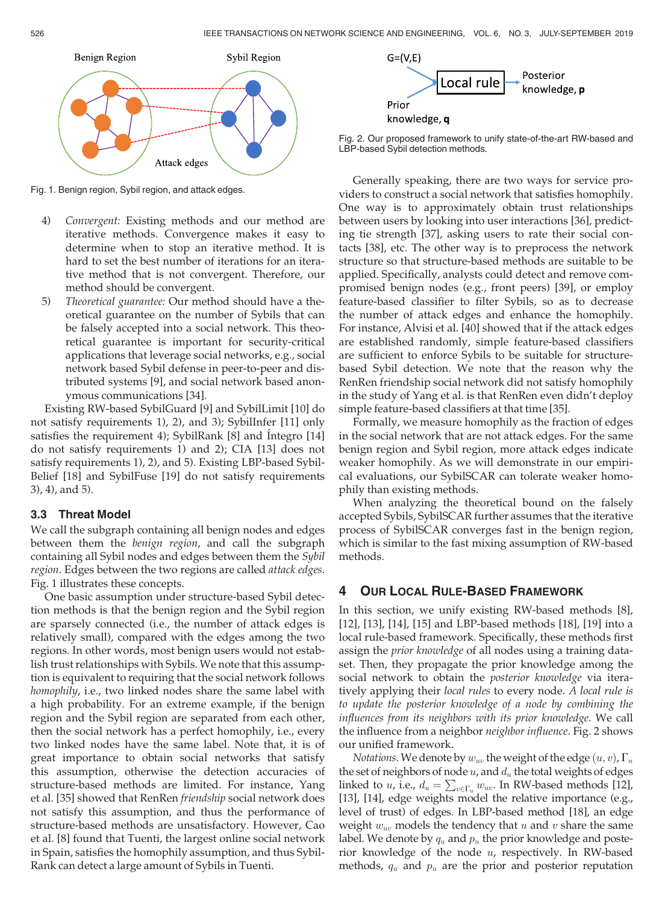

Fig. 1. Benign region, Sybil region, and attack edges.

- 4) Convergent: Existing methods and our method are iterative methods. Convergence makes it easy to determine when to stop an iterative method. It is hard to set the best number of iterations for an iterative method that is not convergent. Therefore, our method should be convergent.
- 5) Theoretical guarantee: Our method should have a theoretical guarantee on the number of Sybils that can be falsely accepted into a social network. This theoretical guarantee is important for security-critical applications that leverage social networks, e.g., social network based Sybil defense in peer-to-peer and distributed systems [9], and social network based anonymous communications [34].

Existing RW-based SybilGuard [9] and SybilLimit [10] do not satisfy requirements 1), 2), and 3); SybilInfer [11] only satisfies the requirement 4); SybilRank  $[8]$  and Integro  $[14]$ do not satisfy requirements 1) and 2); CIA [13] does not satisfy requirements 1), 2), and 5). Existing LBP-based Sybil-Belief [18] and SybilFuse [19] do not satisfy requirements 3), 4), and 5).

#### 3.3 Threat Model

We call the subgraph containing all benign nodes and edges between them the benign region, and call the subgraph containing all Sybil nodes and edges between them the Sybil region. Edges between the two regions are called attack edges. Fig. 1 illustrates these concepts.

One basic assumption under structure-based Sybil detection methods is that the benign region and the Sybil region are sparsely connected (i.e., the number of attack edges is relatively small), compared with the edges among the two regions. In other words, most benign users would not establish trust relationships with Sybils. We note that this assumption is equivalent to requiring that the social network follows homophily, i.e., two linked nodes share the same label with a high probability. For an extreme example, if the benign region and the Sybil region are separated from each other, then the social network has a perfect homophily, i.e., every two linked nodes have the same label. Note that, it is of great importance to obtain social networks that satisfy this assumption, otherwise the detection accuracies of structure-based methods are limited. For instance, Yang et al. [35] showed that RenRen friendship social network does not satisfy this assumption, and thus the performance of structure-based methods are unsatisfactory. However, Cao et al. [8] found that Tuenti, the largest online social network in Spain, satisfies the homophily assumption, and thus Sybil-Rank can detect a large amount of Sybils in Tuenti.



Fig. 2. Our proposed framework to unify state-of-the-art RW-based and LBP-based Sybil detection methods.

Generally speaking, there are two ways for service providers to construct a social network that satisfies homophily. One way is to approximately obtain trust relationships between users by looking into user interactions [36], predicting tie strength [37], asking users to rate their social contacts [38], etc. The other way is to preprocess the network structure so that structure-based methods are suitable to be applied. Specifically, analysts could detect and remove compromised benign nodes (e.g., front peers) [39], or employ feature-based classifier to filter Sybils, so as to decrease the number of attack edges and enhance the homophily. For instance, Alvisi et al. [40] showed that if the attack edges are established randomly, simple feature-based classifiers are sufficient to enforce Sybils to be suitable for structurebased Sybil detection. We note that the reason why the RenRen friendship social network did not satisfy homophily in the study of Yang et al. is that RenRen even didn't deploy simple feature-based classifiers at that time [35].

Formally, we measure homophily as the fraction of edges in the social network that are not attack edges. For the same benign region and Sybil region, more attack edges indicate weaker homophily. As we will demonstrate in our empirical evaluations, our SybilSCAR can tolerate weaker homophily than existing methods.

When analyzing the theoretical bound on the falsely accepted Sybils, SybilSCAR further assumes that the iterative process of SybilSCAR converges fast in the benign region, which is similar to the fast mixing assumption of RW-based methods.

# 4 OUR LOCAL RULE-BASED FRAMEWORK

In this section, we unify existing RW-based methods [8], [12], [13], [14], [15] and LBP-based methods [18], [19] into a local rule-based framework. Specifically, these methods first assign the prior knowledge of all nodes using a training dataset. Then, they propagate the prior knowledge among the social network to obtain the posterior knowledge via iteratively applying their local rules to every node. A local rule is to update the posterior knowledge of a node by combining the influences from its neighbors with its prior knowledge. We call the influence from a neighbor neighbor influence. Fig. 2 shows our unified framework.

*Notations.* We denote by  $w_{uv}$  the weight of the edge  $(u, v)$ ,  $\Gamma_u$ the set of neighbors of node  $u$ , and  $d_u$  the total weights of edges linked to *u*, i.e.,  $d_u = \sum_{v \in \Gamma_u} w_{uv}$ . In RW-based methods [12], [13], [14], edge weights model the relative importance (e.g., level of trust) of edges. In LBP-based method [18], an edge weight  $w_{uv}$  models the tendency that  $u$  and  $v$  share the same label. We denote by  $q_u$  and  $p_u$  the prior knowledge and posterior knowledge of the node  $u$ , respectively. In RW-based methods,  $q_u$  and  $p_u$  are the prior and posterior reputation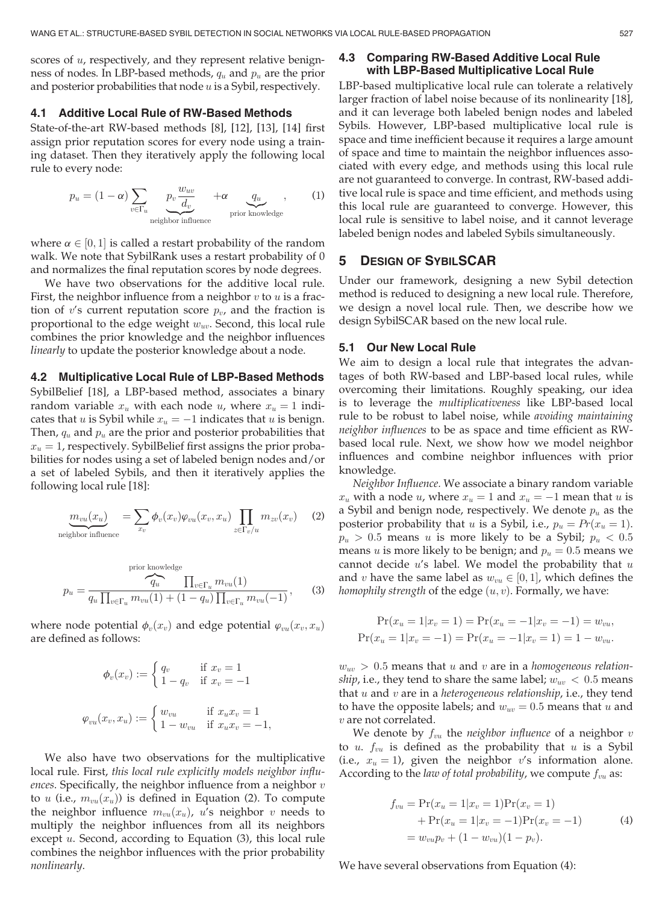scores of  $u$ , respectively, and they represent relative benignness of nodes. In LBP-based methods,  $q_u$  and  $p_u$  are the prior and posterior probabilities that node  $u$  is a Sybil, respectively.

## 4.1 Additive Local Rule of RW-Based Methods

State-of-the-art RW-based methods [8], [12], [13], [14] first assign prior reputation scores for every node using a training dataset. Then they iteratively apply the following local rule to every node:

$$
p_u = (1 - \alpha) \sum_{v \in \Gamma_u} \underbrace{p_v \frac{w_{uv}}{d_v}}_{\text{neighbor influence}} + \alpha \underbrace{q_u}_{\text{prior knowledge}}, \qquad (1)
$$

where  $\alpha \in [0, 1]$  is called a restart probability of the random walk. We note that SybilRank uses a restart probability of 0 and normalizes the final reputation scores by node degrees.

We have two observations for the additive local rule. First, the neighbor influence from a neighbor  $v$  to  $u$  is a fraction of v's current reputation score  $p_v$ , and the fraction is proportional to the edge weight  $w_{uv}$ . Second, this local rule combines the prior knowledge and the neighbor influences linearly to update the posterior knowledge about a node.

# 4.2 Multiplicative Local Rule of LBP-Based Methods

SybilBelief [18], a LBP-based method, associates a binary random variable  $x_u$  with each node u, where  $x_u = 1$  indicates that *u* is Sybil while  $x_u = -1$  indicates that *u* is benign. Then,  $q_u$  and  $p_u$  are the prior and posterior probabilities that  $x_u = 1$ , respectively. SybilBelief first assigns the prior probabilities for nodes using a set of labeled benign nodes and/or a set of labeled Sybils, and then it iteratively applies the following local rule [18]:

$$
\underbrace{m_{vu}(x_u)}_{\text{neighbor influence}} = \sum_{x_v} \phi_v(x_v) \varphi_{vu}(x_v, x_u) \prod_{z \in \Gamma_v/u} m_{zv}(x_v) \qquad (2)
$$

$$
p_u = \frac{\overbrace{q_u}_{q_u} \prod_{v \in \Gamma_u} m_{vu}(1)}{\overbrace{q_u}_{w \in \Gamma_u} m_{vu}(1) + (1 - q_u) \prod_{v \in \Gamma_u} m_{vu}(-1)},
$$
(3)

where node potential  $\phi_v(x_v)$  and edge potential  $\varphi_{vu}(x_v, x_u)$ are defined as follows:

$$
\phi_v(x_v) := \begin{cases} q_v & \text{if } x_v = 1 \\ 1 - q_v & \text{if } x_v = -1 \end{cases}
$$

$$
\varphi_{vu}(x_v, x_u) := \begin{cases} w_{vu} & \text{if } x_u x_v = 1 \\ 1 - w_{vu} & \text{if } x_u x_v = -1, \end{cases}
$$

We also have two observations for the multiplicative local rule. First, this local rule explicitly models neighbor influences. Specifically, the neighbor influence from a neighbor  $v$ to u (i.e.,  $m_{vu}(x_u)$ ) is defined in Equation (2). To compute the neighbor influence  $m_{vu}(x_u)$ , u's neighbor v needs to multiply the neighbor influences from all its neighbors except *u*. Second, according to Equation (3), this local rule combines the neighbor influences with the prior probability nonlinearly.

# 4.3 Comparing RW-Based Additive Local Rule with LBP-Based Multiplicative Local Rule

LBP-based multiplicative local rule can tolerate a relatively larger fraction of label noise because of its nonlinearity [18], and it can leverage both labeled benign nodes and labeled Sybils. However, LBP-based multiplicative local rule is space and time inefficient because it requires a large amount of space and time to maintain the neighbor influences associated with every edge, and methods using this local rule are not guaranteed to converge. In contrast, RW-based additive local rule is space and time efficient, and methods using this local rule are guaranteed to converge. However, this local rule is sensitive to label noise, and it cannot leverage labeled benign nodes and labeled Sybils simultaneously.

# 5 DESIGN OF SYBILSCAR

Under our framework, designing a new Sybil detection method is reduced to designing a new local rule. Therefore, we design a novel local rule. Then, we describe how we design SybilSCAR based on the new local rule.

## 5.1 Our New Local Rule

We aim to design a local rule that integrates the advantages of both RW-based and LBP-based local rules, while overcoming their limitations. Roughly speaking, our idea is to leverage the multiplicativeness like LBP-based local rule to be robust to label noise, while avoiding maintaining neighbor influences to be as space and time efficient as RWbased local rule. Next, we show how we model neighbor influences and combine neighbor influences with prior knowledge.

Neighbor Influence. We associate a binary random variable  $x_u$  with a node *u*, where  $x_u = 1$  and  $x_u = -1$  mean that *u* is a Sybil and benign node, respectively. We denote  $p_u$  as the posterior probability that u is a Sybil, i.e.,  $p_u = Pr(x_u = 1)$ .  $p_u > 0.5$  means u is more likely to be a Sybil;  $p_u < 0.5$ means *u* is more likely to be benign; and  $p_u = 0.5$  means we cannot decide  $u$ 's label. We model the probability that  $u$ and v have the same label as  $w_{vu} \in [0, 1]$ , which defines the homophily strength of the edge  $(u, v)$ . Formally, we have:

$$
Pr(x_u = 1|x_v = 1) = Pr(x_u = -1|x_v = -1) = w_{vu},
$$
  

$$
Pr(x_u = 1|x_v = -1) = Pr(x_u = -1|x_v = 1) = 1 - w_{vu}.
$$

 $w_{uv} > 0.5$  means that u and v are in a homogeneous relation*ship*, i.e., they tend to share the same label;  $w_{uv} < 0.5$  means that  $u$  and  $v$  are in a *heterogeneous relationship*, i.e., they tend to have the opposite labels; and  $w_{uv} = 0.5$  means that u and v are not correlated.

We denote by  $f_{vu}$  the neighbor influence of a neighbor  $v$ to  $u$ .  $f_{vu}$  is defined as the probability that  $u$  is a Sybil (i.e.,  $x_u = 1$ ), given the neighbor v's information alone. According to the law of total probability, we compute  $f_{vu}$  as:

$$
f_{vu} = \Pr(x_u = 1 | x_v = 1) \Pr(x_v = 1)
$$
  
+ 
$$
\Pr(x_u = 1 | x_v = -1) \Pr(x_v = -1)
$$
  
= 
$$
w_{vu}p_v + (1 - w_{vu})(1 - p_v).
$$
 (4)

We have several observations from Equation (4):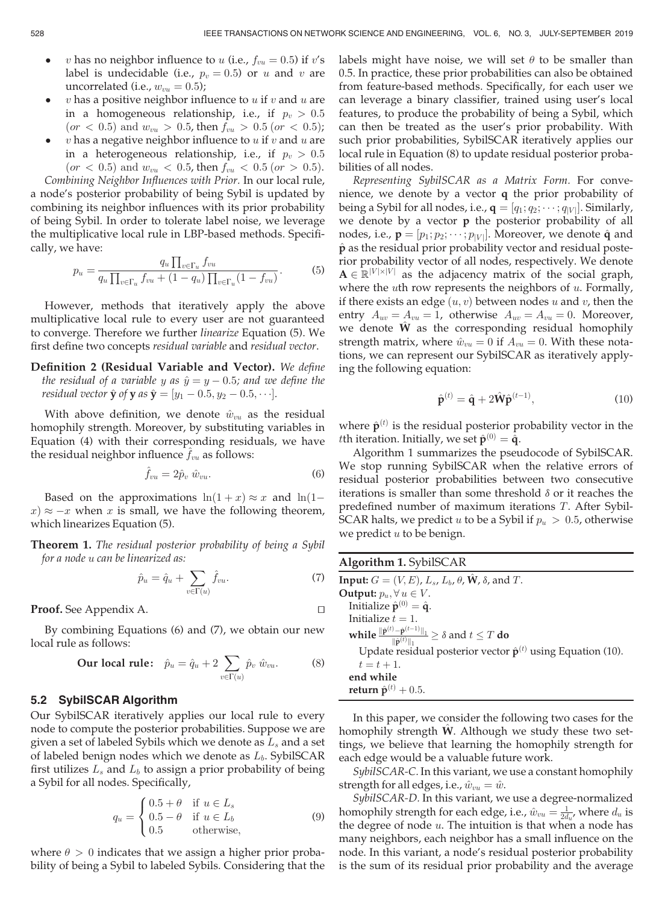- *v* has no neighbor influence to *u* (i.e.,  $f_{vu} = 0.5$ ) if *v*'s label is undecidable (i.e.,  $p_v = 0.5$ ) or u and v are uncorrelated (i.e.,  $w_{vu} = 0.5$ );
- $v$  has a positive neighbor influence to  $u$  if  $v$  and  $u$  are in a homogeneous relationship, i.e., if  $p_v > 0.5$  $\sigma$  (or < 0.5) and  $w_{vu} > 0.5$ , then  $f_{vu} > 0.5$  (or < 0.5);
- v has a negative neighbor influence to  $u$  if  $v$  and  $u$  are in a heterogeneous relationship, i.e., if  $p_v > 0.5$  $\frac{1}{\alpha}$  (or < 0.5) and  $w_{vu}$  < 0.5, then  $f_{vu}$  < 0.5 (or > 0.5).

Combining Neighbor Influences with Prior. In our local rule, a node's posterior probability of being Sybil is updated by combining its neighbor influences with its prior probability of being Sybil. In order to tolerate label noise, we leverage the multiplicative local rule in LBP-based methods. Specifically, we have:

$$
p_u = \frac{q_u \prod_{v \in \Gamma_u} f_{vu}}{q_u \prod_{v \in \Gamma_u} f_{vu} + (1 - q_u) \prod_{v \in \Gamma_u} (1 - f_{vu})}.
$$
 (5)

However, methods that iteratively apply the above multiplicative local rule to every user are not guaranteed to converge. Therefore we further linearize Equation (5). We first define two concepts residual variable and residual vector.

Definition 2 (Residual Variable and Vector). We define the residual of a variable y as  $\hat{y} = y - 0.5$ ; and we define the residual vector  $\hat{\mathbf{y}}$  of  $\mathbf{y}$  as  $\hat{\mathbf{y}} = [y_1 - 0.5, y_2 - 0.5, \cdots].$ 

With above definition, we denote  $\hat{w}_{vu}$  as the residual homophily strength. Moreover, by substituting variables in Equation (4) with their corresponding residuals, we have the residual neighbor influence  $f_{vu}$  as follows:

$$
\hat{f}_{vu} = 2\hat{p}_v \ \hat{w}_{vu}.\tag{6}
$$

Based on the approximations  $ln(1 + x) \approx x$  and  $ln(1$  $x \approx -x$  when x is small, we have the following theorem, which linearizes Equation (5).

Theorem 1. The residual posterior probability of being a Sybil for a node u can be linearized as:

$$
\hat{p}_u = \hat{q}_u + \sum_{v \in \Gamma(u)} \hat{f}_{vu}.
$$
\n(7)

**Proof.** See Appendix A. turns the set of  $\Box$ 

By combining Equations (6) and (7), we obtain our new local rule as follows:

**Our local rule:** 
$$
\hat{p}_u = \hat{q}_u + 2 \sum_{v \in \Gamma(u)} \hat{p}_v \hat{w}_{vu}.
$$
 (8)

# 5.2 SybilSCAR Algorithm

Our SybilSCAR iteratively applies our local rule to every node to compute the posterior probabilities. Suppose we are given a set of labeled Sybils which we denote as  $L_s$  and a set of labeled benign nodes which we denote as  $L<sub>b</sub>$ . SybilSCAR first utilizes  $L_s$  and  $L_b$  to assign a prior probability of being a Sybil for all nodes. Specifically,

$$
q_u = \begin{cases} 0.5 + \theta & \text{if } u \in L_s \\ 0.5 - \theta & \text{if } u \in L_b \\ 0.5 & \text{otherwise,} \end{cases}
$$
 (9)

where  $\theta > 0$  indicates that we assign a higher prior probability of being a Sybil to labeled Sybils. Considering that the

labels might have noise, we will set  $\theta$  to be smaller than 0.5. In practice, these prior probabilities can also be obtained from feature-based methods. Specifically, for each user we can leverage a binary classifier, trained using user's local features, to produce the probability of being a Sybil, which can then be treated as the user's prior probability. With such prior probabilities, SybilSCAR iteratively applies our local rule in Equation (8) to update residual posterior probabilities of all nodes.

Representing SybilSCAR as a Matrix Form. For convenience, we denote by a vector q the prior probability of being a Sybil for all nodes, i.e.,  $\mathbf{q} = [q_1; q_2; \dots; q_{|V|}]$ . Similarly, we denote by a vector p the posterior probability of all nodes, i.e.,  $\mathbf{p} = [p_1; p_2; \dots; p_{|V|}]$ . Moreover, we denote  $\hat{\mathbf{q}}$  and  $\hat{p}$  as the residual prior probability vector and residual posterior probability vector of all nodes, respectively. We denote  $A \in \mathbb{R}^{|V| \times |V|}$  as the adjacency matrix of the social graph, where the  $u$ th row represents the neighbors of  $u$ . Formally, if there exists an edge  $(u, v)$  between nodes u and v, then the entry  $A_{uv} = A_{vu} = 1$ , otherwise  $A_{uv} = A_{vu} = 0$ . Moreover, we denote  $\hat{W}$  as the corresponding residual homophily strength matrix, where  $\hat{w}_{vu} = 0$  if  $A_{vu} = 0$ . With these notations, we can represent our SybilSCAR as iteratively applying the following equation:

$$
\hat{\mathbf{p}}^{(t)} = \hat{\mathbf{q}} + 2\hat{\mathbf{W}}\hat{\mathbf{p}}^{(t-1)},\tag{10}
$$

where  $\hat{\mathbf{p}}^{(t)}$  is the residual posterior probability vector in the *t*th iteration. Initially, we set  $\hat{\mathbf{p}}^{(0)} = \hat{\mathbf{q}}$ .

Algorithm 1 summarizes the pseudocode of SybilSCAR. We stop running SybilSCAR when the relative errors of residual posterior probabilities between two consecutive iterations is smaller than some threshold  $\delta$  or it reaches the predefined number of maximum iterations T. After Sybil-SCAR halts, we predict u to be a Sybil if  $p_u > 0.5$ , otherwise we predict  $u$  to be benign.

| Algorithm 1. SybilSCAR                                                                                                           |
|----------------------------------------------------------------------------------------------------------------------------------|
| <b>Input:</b> $G = (V, E)$ , $L_s$ , $L_b$ , $\theta$ , $\hat{W}$ , $\delta$ , and T.                                            |
| <b>Output:</b> $p_u, \forall u \in V$ .                                                                                          |
| Initialize $\hat{\mathbf{p}}^{(0)} = \hat{\mathbf{q}}$ .                                                                         |
| Initialize $t=1$ .                                                                                                               |
| while $\frac{\ \hat{\mathbf{p}}^{(t)} - \hat{\mathbf{p}}^{(t-1)}\ _1}{\ \hat{\mathbf{n}}^{(t)}\ _1} \ge \delta$ and $t \le T$ do |
| Update residual posterior vector $\hat{\mathbf{p}}^{(t)}$ using Equation (10).                                                   |
| $t = t + 1.$                                                                                                                     |
| end while                                                                                                                        |
| <b>return</b> $\hat{\mathbf{p}}^{(t)} + 0.5$ .                                                                                   |

In this paper, we consider the following two cases for the homophily strength  $W$ . Although we study these two settings, we believe that learning the homophily strength for each edge would be a valuable future work.

SybilSCAR-C. In this variant, we use a constant homophily strength for all edges, i.e.,  $\hat{w}_{vu} = \hat{w}$ .

SybilSCAR-D. In this variant, we use a degree-normalized homophily strength for each edge, i.e.,  $\hat{w}_{vu} = \frac{1}{2d_u}$ , where  $d_u$  is the degree of node  $u$ . The intuition is that when a node has many neighbors, each neighbor has a small influence on the node. In this variant, a node's residual posterior probability is the sum of its residual prior probability and the average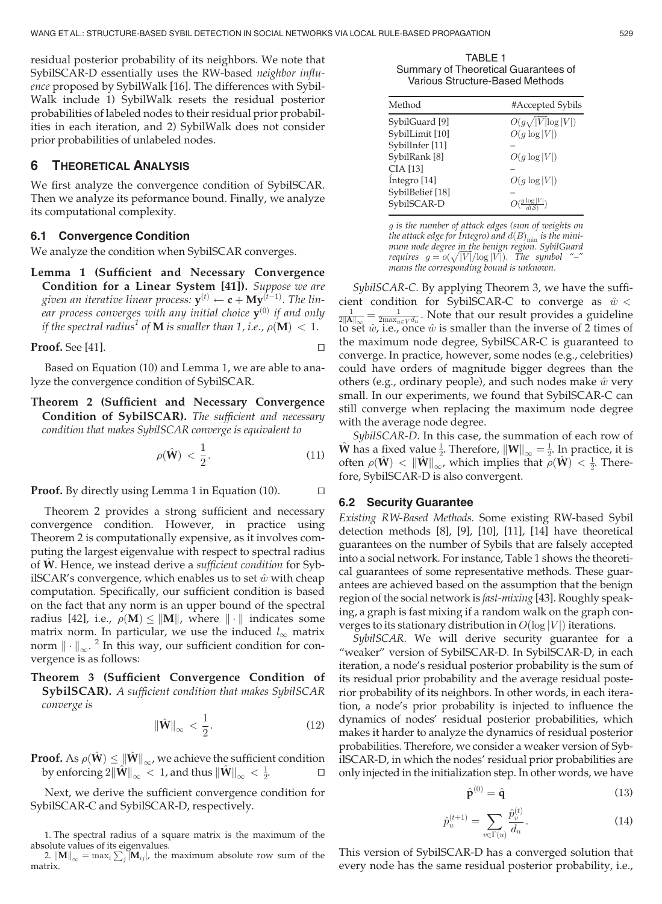residual posterior probability of its neighbors. We note that SybilSCAR-D essentially uses the RW-based neighbor influence proposed by SybilWalk [16]. The differences with Sybil-Walk include 1) SybilWalk resets the residual posterior probabilities of labeled nodes to their residual prior probabilities in each iteration, and 2) SybilWalk does not consider prior probabilities of unlabeled nodes.

## 6 THEORETICAL ANALYSIS

We first analyze the convergence condition of SybilSCAR. Then we analyze its peformance bound. Finally, we analyze its computational complexity.

## 6.1 Convergence Condition

We analyze the condition when SybilSCAR converges.

Lemma 1 (Sufficient and Necessary Convergence Condition for a Linear System [41]). Suppose we are given an iterative linear process:  $\mathbf{y}^{(t)} \leftarrow \mathbf{c} + \mathbf{M} \mathbf{y}^{(t-1)}.$  The linear process converges with any initial choice  $y^{(0)}$  if and only if the spectral radius<sup>1</sup> of **M** is smaller than 1, i.e.,  $\rho(\mathbf{M}) < 1$ .

#### **Proof.** See [41].

Based on Equation (10) and Lemma 1, we are able to analyze the convergence condition of SybilSCAR.

Theorem 2 (Sufficient and Necessary Convergence Condition of SybilSCAR). The sufficient and necessary condition that makes SybilSCAR converge is equivalent to

$$
\rho(\hat{\mathbf{W}}) < \frac{1}{2}.\tag{11}
$$

**Proof.** By directly using Lemma 1 in Equation (10).  $\Box$ 

Theorem 2 provides a strong sufficient and necessary convergence condition. However, in practice using Theorem 2 is computationally expensive, as it involves computing the largest eigenvalue with respect to spectral radius of W. Hence, we instead derive a sufficient condition for SybilSCAR's convergence, which enables us to set  $\hat{w}$  with cheap computation. Specifically, our sufficient condition is based on the fact that any norm is an upper bound of the spectral radius [42], i.e.,  $\rho(\mathbf{M}) \le ||\mathbf{M}||$ , where  $|| \cdot ||$  indicates some matrix norm. In particular, we use the induced  $l_{\infty}$  matrix norm  $\|\cdot\|_{\infty}$ . <sup>2</sup> In this way, our sufficient condition for convergence is as follows:

# Theorem 3 (Sufficient Convergence Condition of SybilSCAR). A sufficient condition that makes SybilSCAR converge is

$$
\|\hat{\mathbf{W}}\|_{\infty} < \frac{1}{2}.\tag{12}
$$

**Proof.** As  $\rho(\mathbf{W}) \leq ||\mathbf{W}||_{\infty}$ , we achieve the sufficient condition by enforcing  $2\|\hat{\mathbf{W}}\|_{\infty} < 1$ , and thus  $\|\hat{\mathbf{W}}\|_{\infty} < \frac{1}{2}$ .  $\frac{1}{2}$ .  $\Box$ 

Next, we derive the sufficient convergence condition for SybilSCAR-C and SybilSCAR-D, respectively.

1. The spectral radius of a square matrix is the maximum of the absolute values of its eigenvalues.

TABLE 1 Summary of Theoretical Guarantees of Various Structure-Based Methods

| Method           | #Accepted Sybils             |
|------------------|------------------------------|
| SybilGuard [9]   | $O(g\sqrt{ V  \log  V })$    |
| SybilLimit [10]  | $O(q \log  V )$              |
| SybilInfer [11]  |                              |
| SybilRank [8]    | $O(q \log  V )$              |
| CIA [13]         |                              |
| Integro [14]     | $O(q \log  V )$              |
| SybilBelief [18] |                              |
| SybilSCAR-D      | $O(\frac{g \log  V }{d(S)})$ |

g is the number of attack edges (sum of weights on the attack edge for Íntegro) and d(B)<sub>min</sub> is the mini-<br>mum node degree i<u>n t</u>he benign region. SybilGuard requires  $g = o(\sqrt{|V|}/\log |V|)$ . The symbol "–" means the corresponding bound is unknown.

SybilSCAR-C. By applying Theorem 3, we have the sufficient condition for SybilSCAR-C to converge as  $\hat{w}$  <  $2\|\vec{A}\|_{\odot}$  $\frac{1}{2\|\mathbf{A}\|_{\infty}} = \frac{1}{2\max_{u \in V} d_u}$ . Note that our result provides a guideline to set  $\hat{w}$ , i.e., once  $\hat{w}$  is smaller than the inverse of 2 times of the maximum node degree, SybilSCAR-C is guaranteed to converge. In practice, however, some nodes (e.g., celebrities) could have orders of magnitude bigger degrees than the others (e.g., ordinary people), and such nodes make  $\hat{w}$  very small. In our experiments, we found that SybilSCAR-C can still converge when replacing the maximum node degree with the average node degree.

SybilSCAR-D. In this case, the summation of each row of  $\hat{W}$  has a fixed value  $\frac{1}{2}$ . Therefore,  $\|W\|_{\infty} = \frac{1}{2}$ . In practice, it is often  $\rho(\hat{\mathbf{W}}) < \|\hat{\mathbf{W}}\|_{\infty}$ , which implies that  $\rho(\hat{\mathbf{W}}) < \frac{1}{2}$ . Therefore, SybilSCAR-D is also convergent.

## 6.2 Security Guarantee

Existing RW-Based Methods. Some existing RW-based Sybil detection methods [8], [9], [10], [11], [14] have theoretical guarantees on the number of Sybils that are falsely accepted into a social network. For instance, Table 1 shows the theoretical guarantees of some representative methods. These guarantees are achieved based on the assumption that the benign region of the social network is fast-mixing [43]. Roughly speaking, a graph is fast mixing if a random walk on the graph converges to its stationary distribution in  $O(\log |V|)$  iterations.

SybilSCAR. We will derive security guarantee for a "weaker" version of SybilSCAR-D. In SybilSCAR-D, in each iteration, a node's residual posterior probability is the sum of its residual prior probability and the average residual posterior probability of its neighbors. In other words, in each iteration, a node's prior probability is injected to influence the dynamics of nodes' residual posterior probabilities, which makes it harder to analyze the dynamics of residual posterior probabilities. Therefore, we consider a weaker version of SybilSCAR-D, in which the nodes' residual prior probabilities are only injected in the initialization step. In other words, we have

$$
\hat{\mathbf{p}}^{(0)} = \hat{\mathbf{q}} \tag{13}
$$

$$
\hat{p}_u^{(t+1)} = \sum_{v \in \Gamma(u)} \frac{\hat{p}_v^{(t)}}{d_u}.
$$
\n(14)

This version of SybilSCAR-D has a converged solution that every node has the same residual posterior probability, i.e.,

<sup>2.</sup>  $\|\mathbf{M}\|_{\infty} = \max_i \sum_j |\mathbf{M}_{ij}|$ , the maximum absolute row sum of the matrix.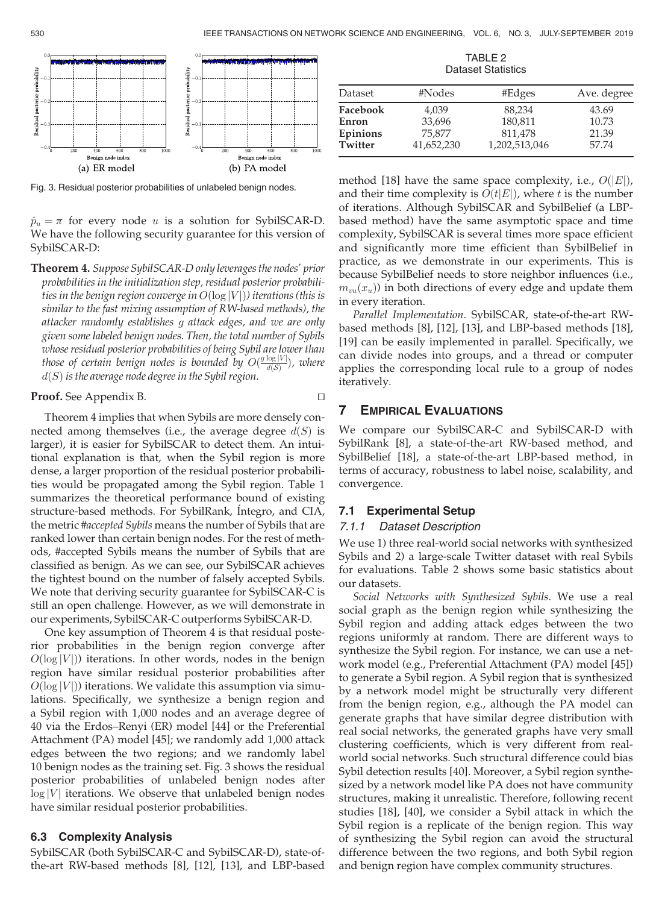

Fig. 3. Residual posterior probabilities of unlabeled benign nodes.

 $\hat{p}_u = \pi$  for every node u is a solution for SybilSCAR-D. We have the following security guarantee for this version of SybilSCAR-D:

Theorem 4. Suppose SybilSCAR-D only leverages the nodes' prior probabilities in the initialization step, residual posterior probabilities in the benign region converge in  $O(\log |V|)$ ) iterations (this is similar to the fast mixing assumption of RW-based methods), the attacker randomly establishes g attack edges, and we are only given some labeled benign nodes. Then, the total number of Sybils whose residual posterior probabilities of being Sybil are lower than those of certain benign nodes is bounded by  $O(\frac{g \log |V|}{d(S)})$ , where  $d(S)$  is the average node degree in the Sybil region.

#### **Proof.** See Appendix B.

Theorem 4 implies that when Sybils are more densely connected among themselves (i.e., the average degree  $d(S)$  is larger), it is easier for SybilSCAR to detect them. An intuitional explanation is that, when the Sybil region is more dense, a larger proportion of the residual posterior probabilities would be propagated among the Sybil region. Table 1 summarizes the theoretical performance bound of existing structure-based methods. For SybilRank, Integro, and CIA, the metric #accepted Sybils means the number of Sybils that are ranked lower than certain benign nodes. For the rest of methods, #accepted Sybils means the number of Sybils that are classified as benign. As we can see, our SybilSCAR achieves the tightest bound on the number of falsely accepted Sybils. We note that deriving security guarantee for SybilSCAR-C is still an open challenge. However, as we will demonstrate in our experiments, SybilSCAR-C outperforms SybilSCAR-D.

One key assumption of Theorem 4 is that residual posterior probabilities in the benign region converge after  $O(\log |V|)$  iterations. In other words, nodes in the benign region have similar residual posterior probabilities after  $O(\log |V|)$ ) iterations. We validate this assumption via simulations. Specifically, we synthesize a benign region and a Sybil region with 1,000 nodes and an average degree of 40 via the Erdos–Renyi (ER) model [44] or the Preferential Attachment (PA) model [45]; we randomly add 1,000 attack edges between the two regions; and we randomly label 10 benign nodes as the training set. Fig. 3 shows the residual posterior probabilities of unlabeled benign nodes after  $log|V|$  iterations. We observe that unlabeled benign nodes have similar residual posterior probabilities.

#### 6.3 Complexity Analysis

SybilSCAR (both SybilSCAR-C and SybilSCAR-D), state-ofthe-art RW-based methods [8], [12], [13], and LBP-based

TABLE 2 Dataset Statistics

| Dataset  | #Nodes     | #Edges        | Ave. degree |
|----------|------------|---------------|-------------|
| Facebook | 4.039      | 88.234        | 43.69       |
| Enron    | 33.696     | 180,811       | 10.73       |
| Epinions | 75.877     | 811,478       | 21.39       |
| Twitter  | 41.652.230 | 1,202,513,046 | 57.74       |

method [18] have the same space complexity, i.e.,  $O(|E|)$ , and their time complexity is  $O(t|E|)$ , where t is the number of iterations. Although SybilSCAR and SybilBelief (a LBPbased method) have the same asymptotic space and time complexity, SybilSCAR is several times more space efficient and significantly more time efficient than SybilBelief in practice, as we demonstrate in our experiments. This is because SybilBelief needs to store neighbor influences (i.e.,  $m_{vu}(x_u)$  in both directions of every edge and update them in every iteration.

Parallel Implementation. SybilSCAR, state-of-the-art RWbased methods [8], [12], [13], and LBP-based methods [18], [19] can be easily implemented in parallel. Specifically, we can divide nodes into groups, and a thread or computer applies the corresponding local rule to a group of nodes iteratively.

## 7 EMPIRICAL EVALUATIONS

We compare our SybilSCAR-C and SybilSCAR-D with SybilRank [8], a state-of-the-art RW-based method, and SybilBelief [18], a state-of-the-art LBP-based method, in terms of accuracy, robustness to label noise, scalability, and convergence.

#### 7.1 Experimental Setup

#### 7.1.1 Dataset Description

We use 1) three real-world social networks with synthesized Sybils and 2) a large-scale Twitter dataset with real Sybils for evaluations. Table 2 shows some basic statistics about our datasets.

Social Networks with Synthesized Sybils. We use a real social graph as the benign region while synthesizing the Sybil region and adding attack edges between the two regions uniformly at random. There are different ways to synthesize the Sybil region. For instance, we can use a network model (e.g., Preferential Attachment (PA) model [45]) to generate a Sybil region. A Sybil region that is synthesized by a network model might be structurally very different from the benign region, e.g., although the PA model can generate graphs that have similar degree distribution with real social networks, the generated graphs have very small clustering coefficients, which is very different from realworld social networks. Such structural difference could bias Sybil detection results [40]. Moreover, a Sybil region synthesized by a network model like PA does not have community structures, making it unrealistic. Therefore, following recent studies [18], [40], we consider a Sybil attack in which the Sybil region is a replicate of the benign region. This way of synthesizing the Sybil region can avoid the structural difference between the two regions, and both Sybil region and benign region have complex community structures.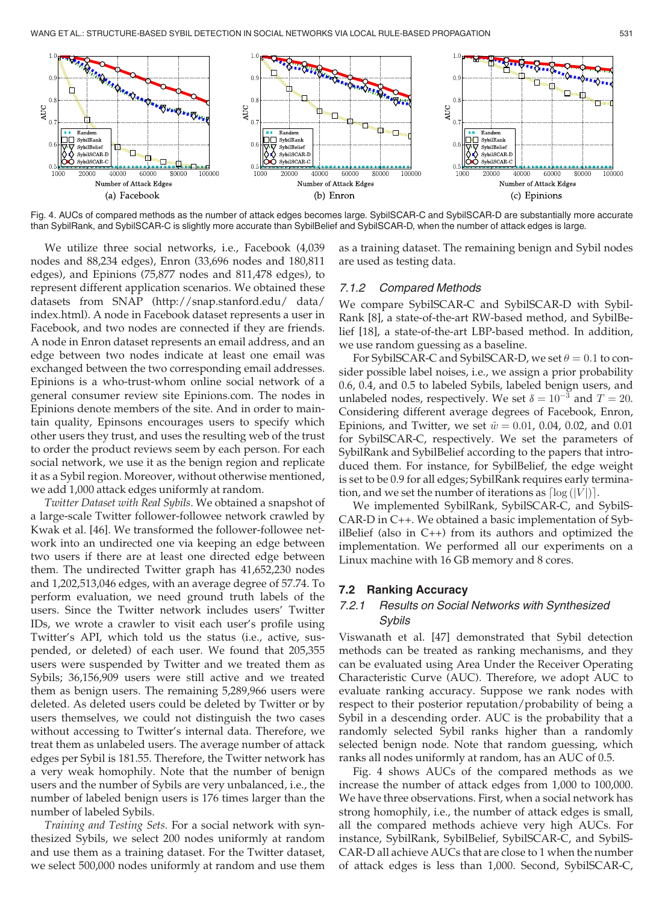

Fig. 4. AUCs of compared methods as the number of attack edges becomes large. SybilSCAR-C and SybilSCAR-D are substantially more accurate than SybilRank, and SybilSCAR-C is slightly more accurate than SybilBelief and SybilSCAR-D, when the number of attack edges is large.

We utilize three social networks, i.e., Facebook (4,039 nodes and 88,234 edges), Enron (33,696 nodes and 180,811 edges), and Epinions (75,877 nodes and 811,478 edges), to represent different application scenarios. We obtained these datasets from SNAP (<http://snap.stanford.edu/> data/ index.html). A node in Facebook dataset represents a user in Facebook, and two nodes are connected if they are friends. A node in Enron dataset represents an email address, and an edge between two nodes indicate at least one email was exchanged between the two corresponding email addresses. Epinions is a who-trust-whom online social network of a general consumer review site Epinions.com. The nodes in Epinions denote members of the site. And in order to maintain quality, Epinsons encourages users to specify which other users they trust, and uses the resulting web of the trust to order the product reviews seem by each person. For each social network, we use it as the benign region and replicate it as a Sybil region. Moreover, without otherwise mentioned, we add 1,000 attack edges uniformly at random.

Twitter Dataset with Real Sybils. We obtained a snapshot of a large-scale Twitter follower-followee network crawled by Kwak et al. [46]. We transformed the follower-followee network into an undirected one via keeping an edge between two users if there are at least one directed edge between them. The undirected Twitter graph has 41,652,230 nodes and 1,202,513,046 edges, with an average degree of 57.74. To perform evaluation, we need ground truth labels of the users. Since the Twitter network includes users' Twitter IDs, we wrote a crawler to visit each user's profile using Twitter's API, which told us the status (i.e., active, suspended, or deleted) of each user. We found that 205,355 users were suspended by Twitter and we treated them as Sybils; 36,156,909 users were still active and we treated them as benign users. The remaining 5,289,966 users were deleted. As deleted users could be deleted by Twitter or by users themselves, we could not distinguish the two cases without accessing to Twitter's internal data. Therefore, we treat them as unlabeled users. The average number of attack edges per Sybil is 181.55. Therefore, the Twitter network has a very weak homophily. Note that the number of benign users and the number of Sybils are very unbalanced, i.e., the number of labeled benign users is 176 times larger than the number of labeled Sybils.

Training and Testing Sets. For a social network with synthesized Sybils, we select 200 nodes uniformly at random and use them as a training dataset. For the Twitter dataset, we select 500,000 nodes uniformly at random and use them as a training dataset. The remaining benign and Sybil nodes are used as testing data.

## 7.1.2 Compared Methods

We compare SybilSCAR-C and SybilSCAR-D with Sybil-Rank [8], a state-of-the-art RW-based method, and SybilBelief [18], a state-of-the-art LBP-based method. In addition, we use random guessing as a baseline.

For SybilSCAR-C and SybilSCAR-D, we set  $\theta = 0.1$  to consider possible label noises, i.e., we assign a prior probability 0.6, 0.4, and 0.5 to labeled Sybils, labeled benign users, and unlabeled nodes, respectively. We set  $\delta = 10^{-3}$  and  $T = 20$ . Considering different average degrees of Facebook, Enron, Epinions, and Twitter, we set  $\hat{w} = 0.01$ , 0.04, 0.02, and 0.01 for SybilSCAR-C, respectively. We set the parameters of SybilRank and SybilBelief according to the papers that introduced them. For instance, for SybilBelief, the edge weight is set to be 0.9 for all edges; SybilRank requires early termination, and we set the number of iterations as  $\lceil \log(|V|) \rceil$ .

We implemented SybilRank, SybilSCAR-C, and SybilS-CAR-D in C++. We obtained a basic implementation of SybilBelief (also in C++) from its authors and optimized the implementation. We performed all our experiments on a Linux machine with 16 GB memory and 8 cores.

#### 7.2 Ranking Accuracy

# 7.2.1 Results on Social Networks with Synthesized Sybils

Viswanath et al. [47] demonstrated that Sybil detection methods can be treated as ranking mechanisms, and they can be evaluated using Area Under the Receiver Operating Characteristic Curve (AUC). Therefore, we adopt AUC to evaluate ranking accuracy. Suppose we rank nodes with respect to their posterior reputation/probability of being a Sybil in a descending order. AUC is the probability that a randomly selected Sybil ranks higher than a randomly selected benign node. Note that random guessing, which ranks all nodes uniformly at random, has an AUC of 0.5.

Fig. 4 shows AUCs of the compared methods as we increase the number of attack edges from 1,000 to 100,000. We have three observations. First, when a social network has strong homophily, i.e., the number of attack edges is small, all the compared methods achieve very high AUCs. For instance, SybilRank, SybilBelief, SybilSCAR-C, and SybilS-CAR-D all achieve AUCs that are close to 1 when the number of attack edges is less than 1,000. Second, SybilSCAR-C,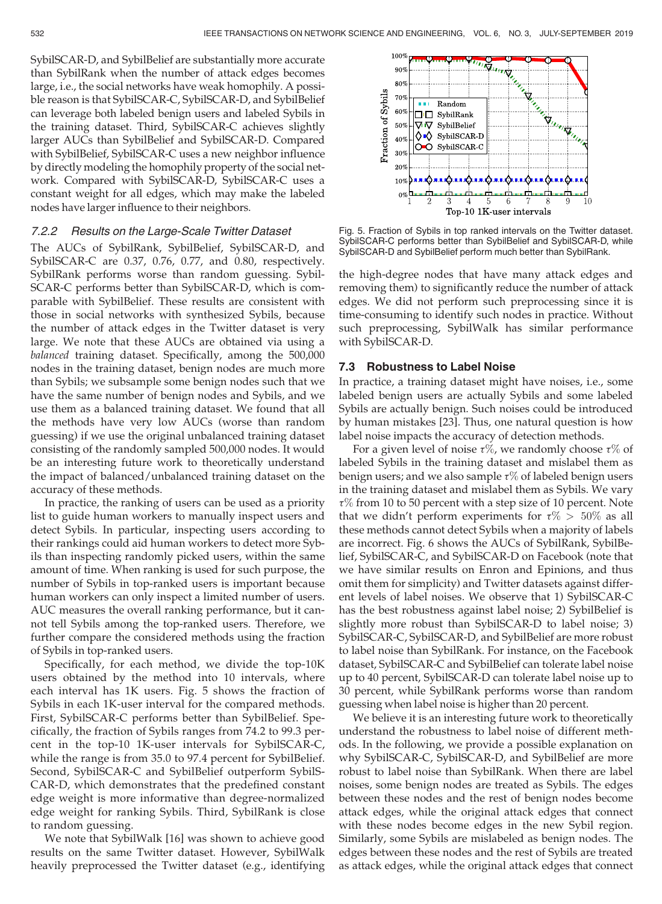SybilSCAR-D, and SybilBelief are substantially more accurate than SybilRank when the number of attack edges becomes large, i.e., the social networks have weak homophily. A possible reason is that SybilSCAR-C, SybilSCAR-D, and SybilBelief can leverage both labeled benign users and labeled Sybils in the training dataset. Third, SybilSCAR-C achieves slightly larger AUCs than SybilBelief and SybilSCAR-D. Compared with SybilBelief, SybilSCAR-C uses a new neighbor influence by directly modeling the homophily property of the social network. Compared with SybilSCAR-D, SybilSCAR-C uses a constant weight for all edges, which may make the labeled nodes have larger influence to their neighbors.

# 7.2.2 Results on the Large-Scale Twitter Dataset

The AUCs of SybilRank, SybilBelief, SybilSCAR-D, and SybilSCAR-C are 0.37, 0.76, 0.77, and 0.80, respectively. SybilRank performs worse than random guessing. Sybil-SCAR-C performs better than SybilSCAR-D, which is comparable with SybilBelief. These results are consistent with those in social networks with synthesized Sybils, because the number of attack edges in the Twitter dataset is very large. We note that these AUCs are obtained via using a balanced training dataset. Specifically, among the 500,000 nodes in the training dataset, benign nodes are much more than Sybils; we subsample some benign nodes such that we have the same number of benign nodes and Sybils, and we use them as a balanced training dataset. We found that all the methods have very low AUCs (worse than random guessing) if we use the original unbalanced training dataset consisting of the randomly sampled 500,000 nodes. It would be an interesting future work to theoretically understand the impact of balanced/unbalanced training dataset on the accuracy of these methods.

In practice, the ranking of users can be used as a priority list to guide human workers to manually inspect users and detect Sybils. In particular, inspecting users according to their rankings could aid human workers to detect more Sybils than inspecting randomly picked users, within the same amount of time. When ranking is used for such purpose, the number of Sybils in top-ranked users is important because human workers can only inspect a limited number of users. AUC measures the overall ranking performance, but it cannot tell Sybils among the top-ranked users. Therefore, we further compare the considered methods using the fraction of Sybils in top-ranked users.

Specifically, for each method, we divide the top-10K users obtained by the method into 10 intervals, where each interval has 1K users. Fig. 5 shows the fraction of Sybils in each 1K-user interval for the compared methods. First, SybilSCAR-C performs better than SybilBelief. Specifically, the fraction of Sybils ranges from 74.2 to 99.3 percent in the top-10 1K-user intervals for SybilSCAR-C, while the range is from 35.0 to 97.4 percent for SybilBelief. Second, SybilSCAR-C and SybilBelief outperform SybilS-CAR-D, which demonstrates that the predefined constant edge weight is more informative than degree-normalized edge weight for ranking Sybils. Third, SybilRank is close to random guessing.

We note that SybilWalk [16] was shown to achieve good results on the same Twitter dataset. However, SybilWalk heavily preprocessed the Twitter dataset (e.g., identifying



Fig. 5. Fraction of Sybils in top ranked intervals on the Twitter dataset. SybilSCAR-C performs better than SybilBelief and SybilSCAR-D, while SybilSCAR-D and SybilBelief perform much better than SybilRank.

the high-degree nodes that have many attack edges and removing them) to significantly reduce the number of attack edges. We did not perform such preprocessing since it is time-consuming to identify such nodes in practice. Without such preprocessing, SybilWalk has similar performance with SybilSCAR-D.

#### 7.3 Robustness to Label Noise

In practice, a training dataset might have noises, i.e., some labeled benign users are actually Sybils and some labeled Sybils are actually benign. Such noises could be introduced by human mistakes [23]. Thus, one natural question is how label noise impacts the accuracy of detection methods.

For a given level of noise  $\tau\%$ , we randomly choose  $\tau\%$  of labeled Sybils in the training dataset and mislabel them as benign users; and we also sample  $\tau\%$  of labeled benign users in the training dataset and mislabel them as Sybils. We vary  $\tau\%$  from 10 to 50 percent with a step size of 10 percent. Note that we didn't perform experiments for  $\tau\% > 50\%$  as all these methods cannot detect Sybils when a majority of labels are incorrect. Fig. 6 shows the AUCs of SybilRank, SybilBelief, SybilSCAR-C, and SybilSCAR-D on Facebook (note that we have similar results on Enron and Epinions, and thus omit them for simplicity) and Twitter datasets against different levels of label noises. We observe that 1) SybilSCAR-C has the best robustness against label noise; 2) SybilBelief is slightly more robust than SybilSCAR-D to label noise; 3) SybilSCAR-C, SybilSCAR-D, and SybilBelief are more robust to label noise than SybilRank. For instance, on the Facebook dataset, SybilSCAR-C and SybilBelief can tolerate label noise up to 40 percent, SybilSCAR-D can tolerate label noise up to 30 percent, while SybilRank performs worse than random guessing when label noise is higher than 20 percent.

We believe it is an interesting future work to theoretically understand the robustness to label noise of different methods. In the following, we provide a possible explanation on why SybilSCAR-C, SybilSCAR-D, and SybilBelief are more robust to label noise than SybilRank. When there are label noises, some benign nodes are treated as Sybils. The edges between these nodes and the rest of benign nodes become attack edges, while the original attack edges that connect with these nodes become edges in the new Sybil region. Similarly, some Sybils are mislabeled as benign nodes. The edges between these nodes and the rest of Sybils are treated as attack edges, while the original attack edges that connect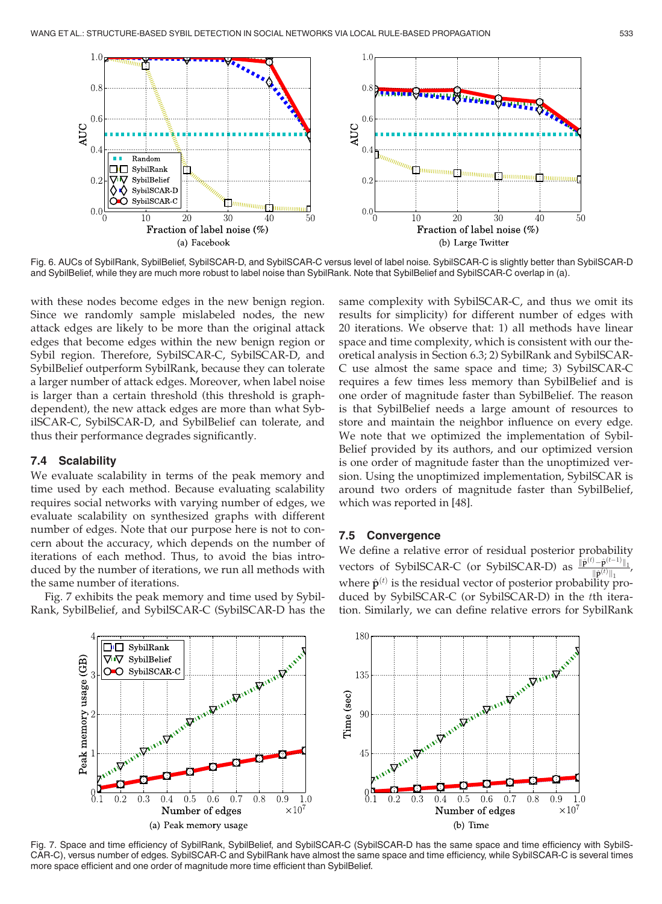

Fig. 6. AUCs of SybilRank, SybilBelief, SybilSCAR-D, and SybilSCAR-C versus level of label noise. SybilSCAR-C is slightly better than SybilSCAR-D and SybilBelief, while they are much more robust to label noise than SybilRank. Note that SybilBelief and SybilSCAR-C overlap in (a).

with these nodes become edges in the new benign region. Since we randomly sample mislabeled nodes, the new attack edges are likely to be more than the original attack edges that become edges within the new benign region or Sybil region. Therefore, SybilSCAR-C, SybilSCAR-D, and SybilBelief outperform SybilRank, because they can tolerate a larger number of attack edges. Moreover, when label noise is larger than a certain threshold (this threshold is graphdependent), the new attack edges are more than what SybilSCAR-C, SybilSCAR-D, and SybilBelief can tolerate, and thus their performance degrades significantly.

# 7.4 Scalability

We evaluate scalability in terms of the peak memory and time used by each method. Because evaluating scalability requires social networks with varying number of edges, we evaluate scalability on synthesized graphs with different number of edges. Note that our purpose here is not to concern about the accuracy, which depends on the number of iterations of each method. Thus, to avoid the bias introduced by the number of iterations, we run all methods with the same number of iterations.

Fig. 7 exhibits the peak memory and time used by Sybil-Rank, SybilBelief, and SybilSCAR-C (SybilSCAR-D has the same complexity with SybilSCAR-C, and thus we omit its results for simplicity) for different number of edges with 20 iterations. We observe that: 1) all methods have linear space and time complexity, which is consistent with our theoretical analysis in Section 6.3; 2) SybilRank and SybilSCAR-C use almost the same space and time; 3) SybilSCAR-C requires a few times less memory than SybilBelief and is one order of magnitude faster than SybilBelief. The reason is that SybilBelief needs a large amount of resources to store and maintain the neighbor influence on every edge. We note that we optimized the implementation of Sybil-Belief provided by its authors, and our optimized version is one order of magnitude faster than the unoptimized version. Using the unoptimized implementation, SybilSCAR is around two orders of magnitude faster than SybilBelief, which was reported in [48].

#### 7.5 Convergence

We define a relative error of residual posterior probability<br>vectors of SybilSCAR-C (or SybilSCAR D D) as  $\|\hat{\mathbf{p}}^{(t)} - \hat{\mathbf{p}}^{(t-1)}\|$ vectors of SybilSCAR-C (or SybilSCAR-D) as wectors of *sybhscrived* (or *sybhscriveD)* as  $-\frac{\|\hat{\mathbf{p}}^{(t)}\|_1}{\|\hat{\mathbf{p}}^{(t)}\|_1}$ , where  $\hat{\mathbf{p}}^{(t)}$  is the residual vector of posterior probability pro-, duced by SybilSCAR-C (or SybilSCAR-D) in the tth iteration. Similarly, we can define relative errors for SybilRank



Fig. 7. Space and time efficiency of SybilRank, SybilBelief, and SybilSCAR-C (SybilSCAR-D has the same space and time efficiency with SybilS-CAR-C), versus number of edges. SybilSCAR-C and SybilRank have almost the same space and time efficiency, while SybilSCAR-C is several times more space efficient and one order of magnitude more time efficient than SybilBelief.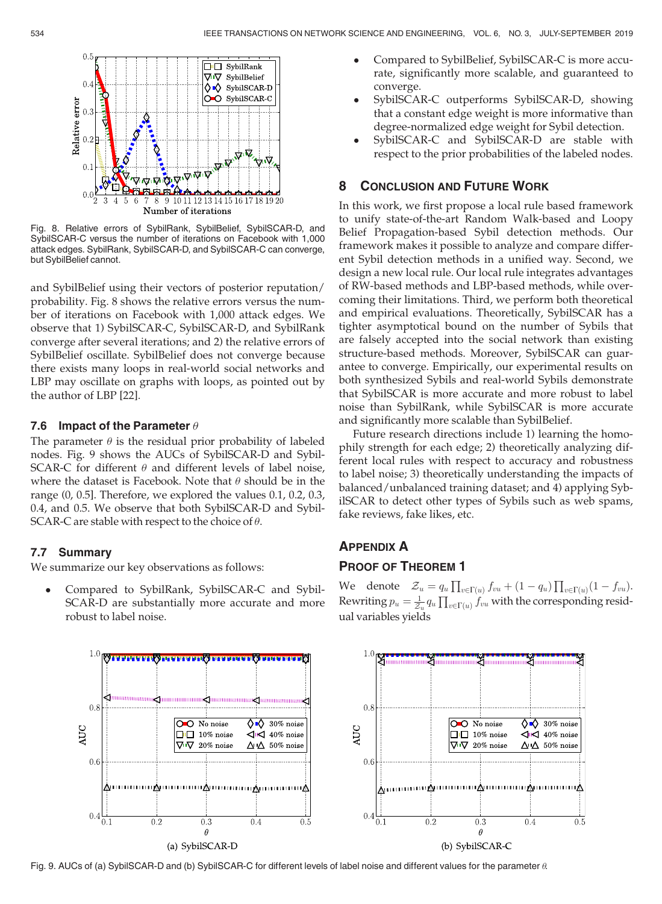

Fig. 8. Relative errors of SybilRank, SybilBelief, SybilSCAR-D, and SybilSCAR-C versus the number of iterations on Facebook with 1,000 attack edges. SybilRank, SybilSCAR-D, and SybilSCAR-C can converge, but SybilBelief cannot.

and SybilBelief using their vectors of posterior reputation/ probability. Fig. 8 shows the relative errors versus the number of iterations on Facebook with 1,000 attack edges. We observe that 1) SybilSCAR-C, SybilSCAR-D, and SybilRank converge after several iterations; and 2) the relative errors of SybilBelief oscillate. SybilBelief does not converge because there exists many loops in real-world social networks and LBP may oscillate on graphs with loops, as pointed out by the author of LBP [22].

## 7.6 Impact of the Parameter  $\theta$

The parameter  $\theta$  is the residual prior probability of labeled nodes. Fig. 9 shows the AUCs of SybilSCAR-D and Sybil-SCAR-C for different  $\theta$  and different levels of label noise, where the dataset is Facebook. Note that  $\theta$  should be in the range (0, 0.5]. Therefore, we explored the values 0.1, 0.2, 0.3, 0.4, and 0.5. We observe that both SybilSCAR-D and Sybil-SCAR-C are stable with respect to the choice of  $\theta$ .

# 7.7 Summary

We summarize our key observations as follows:

 Compared to SybilRank, SybilSCAR-C and Sybil-SCAR-D are substantially more accurate and more robust to label noise.

- Compared to SybilBelief, SybilSCAR-C is more accurate, significantly more scalable, and guaranteed to converge.
- SybilSCAR-C outperforms SybilSCAR-D, showing that a constant edge weight is more informative than degree-normalized edge weight for Sybil detection.
- SybilSCAR-C and SybilSCAR-D are stable with respect to the prior probabilities of the labeled nodes.

# 8 CONCLUSION AND FUTURE WORK

In this work, we first propose a local rule based framework to unify state-of-the-art Random Walk-based and Loopy Belief Propagation-based Sybil detection methods. Our framework makes it possible to analyze and compare different Sybil detection methods in a unified way. Second, we design a new local rule. Our local rule integrates advantages of RW-based methods and LBP-based methods, while overcoming their limitations. Third, we perform both theoretical and empirical evaluations. Theoretically, SybilSCAR has a tighter asymptotical bound on the number of Sybils that are falsely accepted into the social network than existing structure-based methods. Moreover, SybilSCAR can guarantee to converge. Empirically, our experimental results on both synthesized Sybils and real-world Sybils demonstrate that SybilSCAR is more accurate and more robust to label noise than SybilRank, while SybilSCAR is more accurate and significantly more scalable than SybilBelief.

Future research directions include 1) learning the homophily strength for each edge; 2) theoretically analyzing different local rules with respect to accuracy and robustness to label noise; 3) theoretically understanding the impacts of balanced/unbalanced training dataset; and 4) applying SybilSCAR to detect other types of Sybils such as web spams, fake reviews, fake likes, etc.

# APPENDIX A PROOF OF THEOREM 1

We denote  $\mathcal{Z}_u = q_u \prod_{v \in \Gamma(u)} f_{vu} + (1 - q_u) \prod_{v \in \Gamma(u)} (1 - f_{vu}).$ Rewriting  $p_u = \frac{1}{\mathcal{Z}_u} q_u \prod_{v \in \Gamma(u)} \hat{f}_{vu}$  with the corresponding residual variables yields



Fig. 9. AUCs of (a) SybilSCAR-D and (b) SybilSCAR-C for different levels of label noise and different values for the parameter  $\theta$ .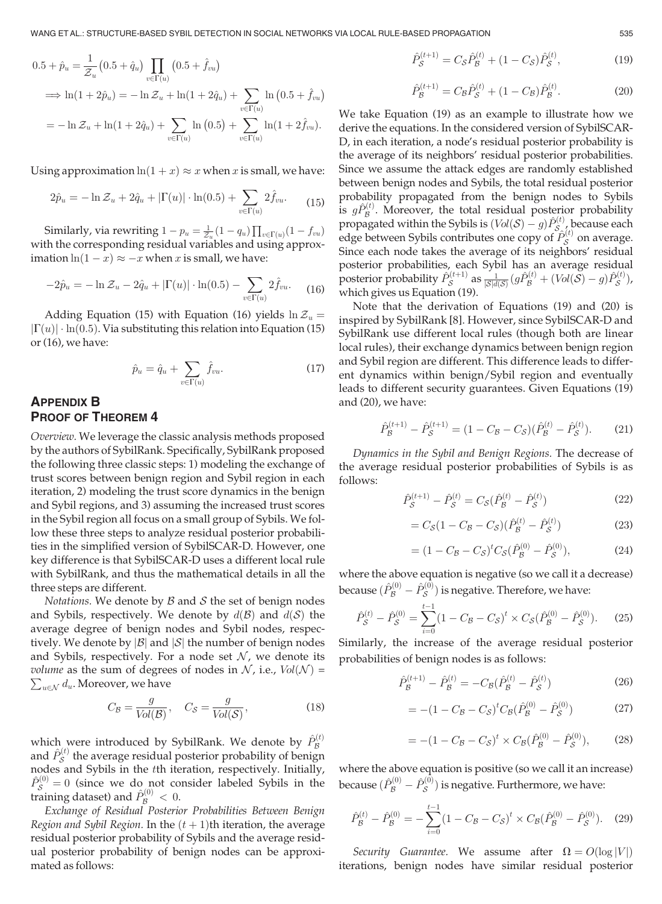$$
0.5 + \hat{p}_u = \frac{1}{\mathcal{Z}_u} (0.5 + \hat{q}_u) \prod_{v \in \Gamma(u)} (0.5 + \hat{f}_{vu})
$$
  
\n
$$
\implies \ln(1 + 2\hat{p}_u) = -\ln \mathcal{Z}_u + \ln(1 + 2\hat{q}_u) + \sum_{v \in \Gamma(u)} \ln(0.5 + \hat{f}_{vu})
$$
  
\n
$$
= -\ln \mathcal{Z}_u + \ln(1 + 2\hat{q}_u) + \sum_{v \in \Gamma(u)} \ln(0.5) + \sum_{v \in \Gamma(u)} \ln(1 + 2\hat{f}_{vu}).
$$

Using approximation  $ln(1 + x) \approx x$  when x is small, we have:

$$
2\hat{p}_u = -\ln \mathcal{Z}_u + 2\hat{q}_u + |\Gamma(u)| \cdot \ln(0.5) + \sum_{v \in \Gamma(u)} 2\hat{f}_{vu}.
$$
 (15)

Similarly, via rewriting  $1 - p_u = \frac{1}{\mathcal{Z}_u}(1 - q_u) \prod_{v \in \Gamma(u)} (1 - f_{vu})$ with the corresponding residual variables and using approximation  $ln(1 - x) \approx -x$  when x is small, we have:

$$
-2\hat{p}_u = -\ln \mathcal{Z}_u - 2\hat{q}_u + |\Gamma(u)| \cdot \ln(0.5) - \sum_{v \in \Gamma(u)} 2\hat{f}_{vu}.
$$
 (16)

Adding Equation (15) with Equation (16) yields  $\ln \mathcal{Z}_u =$  $|\Gamma(u)| \cdot \ln(0.5)$ . Via substituting this relation into Equation (15) or (16), we have:

$$
\hat{p}_u = \hat{q}_u + \sum_{v \in \Gamma(u)} \hat{f}_{vu}.
$$
\n(17)

# APPENDIX B PROOF OF THEOREM 4

Overview. We leverage the classic analysis methods proposed by the authors of SybilRank. Specifically, SybilRank proposed the following three classic steps: 1) modeling the exchange of trust scores between benign region and Sybil region in each iteration, 2) modeling the trust score dynamics in the benign and Sybil regions, and 3) assuming the increased trust scores in the Sybil region all focus on a small group of Sybils. We follow these three steps to analyze residual posterior probabilities in the simplified version of SybilSCAR-D. However, one key difference is that SybilSCAR-D uses a different local rule with SybilRank, and thus the mathematical details in all the three steps are different.

Notations. We denote by  $\beta$  and  $\beta$  the set of benign nodes and Sybils, respectively. We denote by  $d(\mathcal{B})$  and  $d(\mathcal{S})$  the average degree of benign nodes and Sybil nodes, respectively. We denote by  $|\mathcal{B}|$  and  $|\mathcal{S}|$  the number of benign nodes and Sybils, respectively. For a node set  $N$ , we denote its *volume* as the sum of degrees of nodes in  $N$ , i.e.,  $Vol(N) =$  $\sum_{u \in \mathcal{N}} d_u$ . Moreover, we have

$$
C_{\mathcal{B}} = \frac{g}{Vol(\mathcal{B})}, \quad C_{\mathcal{S}} = \frac{g}{Vol(\mathcal{S})},\tag{18}
$$

which were introduced by SybilRank. We denote by  $\hat{P}^{(t)}_{\vec{B}}$ and  $\hat{P}^{(t)}_{\mathcal{S}}$  the average residual posterior probability of benign nodes and Sybils in the tth iteration, respectively. Initially,  $\hat{P}^{(0)}_{\mathcal{S}} = 0$  (since we do not consider labeled Sybils in the training dataset) and  $\hat{P}_{\mathcal{B}}^{(0)} < 0$ .

Exchange of Residual Posterior Probabilities Between Benign Region and Sybil Region. In the  $(t + 1)$ th iteration, the average residual posterior probability of Sybils and the average residual posterior probability of benign nodes can be approximated as follows:

$$
\hat{P}_{\mathcal{S}}^{(t+1)} = C_{\mathcal{S}} \hat{P}_{\mathcal{B}}^{(t)} + (1 - C_{\mathcal{S}}) \hat{P}_{\mathcal{S}}^{(t)},\tag{19}
$$

$$
\hat{P}_{\mathcal{B}}^{(t+1)} = C_{\mathcal{B}} \hat{P}_{\mathcal{S}}^{(t)} + (1 - C_{\mathcal{B}}) \hat{P}_{\mathcal{B}}^{(t)}.
$$
\n(20)

We take Equation (19) as an example to illustrate how we derive the equations. In the considered version of SybilSCAR-D, in each iteration, a node's residual posterior probability is the average of its neighbors' residual posterior probabilities. Since we assume the attack edges are randomly established between benign nodes and Sybils, the total residual posterior probability propagated from the benign nodes to Sybils is  $g\hat{P}_{\mathcal{B}}^{(t)}$ . Moreover, the total residual posterior probability propagated within the Sybils is  $(Vol(S) - g) \hat{P}^{(t)}_{\mathcal{S}, \lambda}$  because each edge between Sybils contributes one copy of  $\hat{P}^{(t)}_{\mathcal{S}}$  on average. Since each node takes the average of its neighbors' residual posterior probabilities, each Sybil has an average residual posterior probability  $\hat{P}^{(t+1)}_{\mathcal{S}}$  as  $\frac{1}{|\mathcal{S}|d(\mathcal{S})}(g\hat{P}^{(t)}_{\mathcal{B}} + (Vol(\mathcal{S}) - g)\hat{P}^{(t)}_{\mathcal{S}})$ , which gives us Equation (19).

Note that the derivation of Equations (19) and (20) is inspired by SybilRank [8]. However, since SybilSCAR-D and SybilRank use different local rules (though both are linear local rules), their exchange dynamics between benign region and Sybil region are different. This difference leads to different dynamics within benign/Sybil region and eventually leads to different security guarantees. Given Equations (19) and (20), we have:

$$
\hat{P}_{\mathcal{B}}^{(t+1)} - \hat{P}_{\mathcal{S}}^{(t+1)} = (1 - C_{\mathcal{B}} - C_{\mathcal{S}}) (\hat{P}_{\mathcal{B}}^{(t)} - \hat{P}_{\mathcal{S}}^{(t)}).
$$
(21)

Dynamics in the Sybil and Benign Regions. The decrease of the average residual posterior probabilities of Sybils is as follows:

$$
\hat{P}_{\mathcal{S}}^{(t+1)} - \hat{P}_{\mathcal{S}}^{(t)} = C_{\mathcal{S}}(\hat{P}_{\mathcal{B}}^{(t)} - \hat{P}_{\mathcal{S}}^{(t)})
$$
\n(22)

$$
= C_{\mathcal{S}} (1 - C_{\mathcal{B}} - C_{\mathcal{S}}) (\hat{P}_{\mathcal{B}}^{(t)} - \hat{P}_{\mathcal{S}}^{(t)})
$$
(23)

$$
= (1 - C_{\mathcal{B}} - C_{\mathcal{S}})^{t} C_{\mathcal{S}} (\hat{P}_{\mathcal{B}}^{(0)} - \hat{P}_{\mathcal{S}}^{(0)}), \tag{24}
$$

where the above equation is negative (so we call it a decrease) because  $(\hat{P}^{(0)}_{\mathcal{B}} - \hat{P}^{(0)}_{\mathcal{S}})$  is negative. Therefore, we have:

$$
\hat{P}_{\mathcal{S}}^{(t)} - \hat{P}_{\mathcal{S}}^{(0)} = \sum_{i=0}^{t-1} (1 - C_{\mathcal{B}} - C_{\mathcal{S}})^{t} \times C_{\mathcal{S}} (\hat{P}_{\mathcal{B}}^{(0)} - \hat{P}_{\mathcal{S}}^{(0)}).
$$
 (25)

Similarly, the increase of the average residual posterior probabilities of benign nodes is as follows:

$$
\hat{P}_{\mathcal{B}}^{(t+1)} - \hat{P}_{\mathcal{B}}^{(t)} = -C_{\mathcal{B}}(\hat{P}_{\mathcal{B}}^{(t)} - \hat{P}_{\mathcal{S}}^{(t)})
$$
\n(26)

$$
= -(1 - C_{\mathcal{B}} - C_{\mathcal{S}})^t C_{\mathcal{B}} (\hat{P}_{\mathcal{B}}^{(0)} - \hat{P}_{\mathcal{S}}^{(0)}) \tag{27}
$$

$$
= -(1 - C_{\mathcal{B}} - C_{\mathcal{S}})^{t} \times C_{\mathcal{B}}(\hat{P}_{\mathcal{B}}^{(0)} - \hat{P}_{\mathcal{S}}^{(0)}), \qquad (28)
$$

where the above equation is positive (so we call it an increase) because  $(\hat{P}^{(0)}_{\mathcal{B}} - \hat{P}^{(0)}_{\mathcal{S}})$  is negative. Furthermore, we have:

$$
\hat{P}_{\mathcal{B}}^{(t)} - \hat{P}_{\mathcal{B}}^{(0)} = -\sum_{i=0}^{t-1} (1 - C_{\mathcal{B}} - C_{\mathcal{S}})^{t} \times C_{\mathcal{B}} (\hat{P}_{\mathcal{B}}^{(0)} - \hat{P}_{\mathcal{S}}^{(0)}).
$$
 (29)

Security Guarantee. We assume after  $\Omega = O(\log |V|)$ iterations, benign nodes have similar residual posterior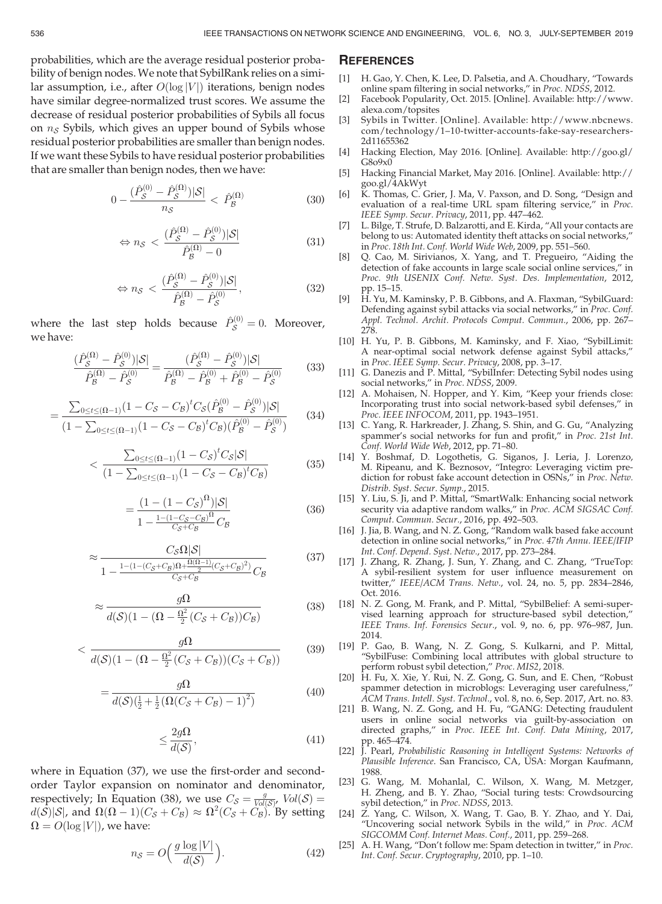probabilities, which are the average residual posterior probability of benign nodes. We note that SybilRank relies on a similar assumption, i.e., after  $O(\log |V|)$  iterations, benign nodes have similar degree-normalized trust scores. We assume the decrease of residual posterior probabilities of Sybils all focus on  $n<sub>S</sub>$  Sybils, which gives an upper bound of Sybils whose residual posterior probabilities are smaller than benign nodes. If we want these Sybils to have residual posterior probabilities that are smaller than benign nodes, then we have:

$$
0 - \frac{(\hat{P}_{\mathcal{S}}^{(0)} - \hat{P}_{\mathcal{S}}^{(\Omega)})|\mathcal{S}|}{n_{\mathcal{S}}} < \hat{P}_{\mathcal{B}}^{(\Omega)} \tag{30}
$$

$$
\Leftrightarrow n_{\mathcal{S}} < \frac{(\hat{P}_{\mathcal{S}}^{(\Omega)} - \hat{P}_{\mathcal{S}}^{(0)})|\mathcal{S}|}{\hat{P}_{\mathcal{B}}^{(\Omega)} - 0} \tag{31}
$$

$$
\Leftrightarrow n_{\mathcal{S}} < \frac{(\hat{P}_{\mathcal{S}}^{(\Omega)} - \hat{P}_{\mathcal{S}}^{(0)})|\mathcal{S}|}{\hat{P}_{\mathcal{B}}^{(\Omega)} - \hat{P}_{\mathcal{S}}^{(0)}},\tag{32}
$$

where the last step holds because  $\hat{P}^{(0)}_{\mathcal{S}} = 0$ . Moreover, we have:

$$
\frac{(\hat{P}_S^{(\Omega)} - \hat{P}_S^{(0)})|S|}{\hat{P}_S^{(\Omega)} - \hat{P}_S^{(0)}} = \frac{(\hat{P}_S^{(\Omega)} - \hat{P}_S^{(0)})|S|}{\hat{P}_S^{(\Omega)} - \hat{P}_S^{(0)} - \hat{P}_S^{(0)} + \hat{P}_S^{(0)}}\tag{33}
$$

$$
=\frac{\sum_{0\leq t\leq (\Omega-1)} (1-C_{\mathcal{S}}-C_{\mathcal{B}})^t C_{\mathcal{S}}(\hat{P}_{\mathcal{B}}^{(0)}-\hat{P}_{\mathcal{S}}^{(0)})|\mathcal{S}|}{(1-\sum_{0\leq t\leq (\Omega-1)} (1-C_{\mathcal{S}}-C_{\mathcal{B}})^t C_{\mathcal{B}})(\hat{P}_{\mathcal{B}}^{(0)}-\hat{P}_{\mathcal{S}}^{(0)})}
$$
(34)

$$
< \frac{\sum_{0 \le t \le (\Omega - 1)} (1 - C_{\mathcal{S}})^{t} C_{\mathcal{S}} |\mathcal{S}|}{(1 - \sum_{0 \le t \le (\Omega - 1)} (1 - C_{\mathcal{S}} - C_{\mathcal{B}})^{t} C_{\mathcal{B}})}
$$
(35)

$$
=\frac{(1 - (1 - C_{\mathcal{S}})^{\Omega})|\mathcal{S}|}{1 - \frac{1 - (1 - C_{\mathcal{S}} - C_{\mathcal{B}})^{\Omega}}{C_{\mathcal{S}} + C_{\mathcal{B}}}C_{\mathcal{B}}}
$$
(36)

$$
\approx \frac{C_{\mathcal{S}}\Omega|\mathcal{S}|}{1 - \frac{1 - (1 - (C_{\mathcal{S}} + C_{\mathcal{B}})\Omega + \frac{\Omega(\Omega - 1)}{2}(C_{\mathcal{S}} + C_{\mathcal{B}})^2)}{C_{\mathcal{S}} + C_{\mathcal{B}}}} C_{\mathcal{B}}
$$
(37)

$$
\approx \frac{g\Omega}{d(S)(1 - (\Omega - \frac{\Omega^2}{2}(C_S + C_B))C_B)}
$$
(38)

$$
<\frac{g\Omega}{d(\mathcal{S})(1 - (\Omega - \frac{\Omega^2}{2}(C_{\mathcal{S}} + C_{\mathcal{B}}))(C_{\mathcal{S}} + C_{\mathcal{B}}))}\tag{39}
$$

$$
= \frac{g\Omega}{d(S)(\frac{1}{2} + \frac{1}{2}(\Omega(C_S + C_B) - 1)^2)}
$$
(40)

$$
\leq \frac{2g\Omega}{d(\mathcal{S})},\tag{41}
$$

where in Equation (37), we use the first-order and secondorder Taylor expansion on nominator and denominator, respectively; In Equation (38), we use  $C_{\mathcal{S}} = \frac{g}{Vol(\mathcal{S})'}$ ,  $Vol(\mathcal{S}) =$  $d(\mathcal{S})|\mathcal{S}|$ , and  $\Omega(\Omega-1)(C_{\mathcal{S}}+C_{\mathcal{B}}) \approx \Omega^2(C_{\mathcal{S}}+C_{\mathcal{B}})$ . By setting  $\Omega = O(\log |V|)$ , we have:

$$
n_{\mathcal{S}} = O\left(\frac{g \log |V|}{d(\mathcal{S})}\right). \tag{42}
$$

## **REFERENCES**

- [1] H. Gao, Y. Chen, K. Lee, D. Palsetia, and A. Choudhary, "Towards online spam filtering in social networks," in Proc. NDSS, 2012.
- [2] Facebook Popularity, Oct. 2015. [Online]. Available: [http://www.](http://www.alexa.com/topsites) [alexa.com/topsites](http://www.alexa.com/topsites)
- [3] Sybils in Twitter. [Online]. Available: [http://www.nbcnews.](http://www.nbcnews.com/technology/1--10-twitter-accounts-fake-say-researchers-2d11655362) [com/technology/1–10-twitter-accounts-fake-say-researchers-](http://www.nbcnews.com/technology/1--10-twitter-accounts-fake-say-researchers-2d11655362)[2d11655362](http://www.nbcnews.com/technology/1--10-twitter-accounts-fake-say-researchers-2d11655362)
- [4] Hacking Election, May 2016. [Online]. Available: [http://goo.gl/](http://goo.gl/G8o9x0)  $G8o9x0$
- [5] Hacking Financial Market, May 2016. [Online]. Available: [http://](http://goo.gl/4AkWyt) [goo.gl/4AkWyt](http://goo.gl/4AkWyt)
- [6] K. Thomas, C. Grier, J. Ma, V. Paxson, and D. Song, "Design and evaluation of a real-time URL spam filtering service," in Proc. IEEE Symp. Secur. Privacy, 2011, pp. 447–462.
- [7] L. Bilge, T. Strufe, D. Balzarotti, and E. Kirda, "All your contacts are belong to us: Automated identity theft attacks on social networks," in Proc. 18th Int. Conf. World Wide Web, 2009, pp. 551–560.
- [8] Q. Cao, M. Sirivianos, X. Yang, and T. Pregueiro, "Aiding the detection of fake accounts in large scale social online services," in Proc. 9th USENIX Conf. Netw. Syst. Des. Implementation, 2012, pp. 15–15.
- [9]  $\dot{H}$ . Yu, M. Kaminsky, P. B. Gibbons, and A. Flaxman, "SybilGuard: Defending against sybil attacks via social networks," in Proc. Conf. Appl. Technol. Archit. Protocols Comput. Commun., 2006, pp. 267– 278.
- [10] H. Yu, P. B. Gibbons, M. Kaminsky, and F. Xiao, "SybilLimit: A near-optimal social network defense against Sybil attacks," in Proc. IEEE Symp. Secur. Privacy, 2008, pp. 3–17.
- [11] G. Danezis and P. Mittal, "SybilInfer: Detecting Sybil nodes using social networks," in Proc. NDSS, 2009.
- [12] A. Mohaisen, N. Hopper, and Y. Kim, "Keep your friends close: Incorporating trust into social network-based sybil defenses," in Proc. IEEE INFOCOM, 2011, pp. 1943–1951.
- [13] C. Yang, R. Harkreader, J. Zhang, S. Shin, and G. Gu, "Analyzing spammer's social networks for fun and profit," in Proc. 21st Int. Conf. World Wide Web, 2012, pp. 71–80.
- [14] Y. Boshmaf, D. Logothetis, G. Siganos, J. Leria, J. Lorenzo, M. Ripeanu, and K. Beznosov, "Integro: Leveraging victim prediction for robust fake account detection in OSNs," in Proc. Netw. Distrib. Syst. Secur. Symp., 2015.
- [15] Y. Liu, S. Ji, and P. Mittal, "SmartWalk: Enhancing social network security via adaptive random walks," in Proc. ACM SIGSAC Conf. Comput. Commun. Secur., 2016, pp. 492–503.
- [16] J. Jia, B. Wang, and N. Z. Gong, "Random walk based fake account detection in online social networks," in Proc. 47th Annu. IEEE/IFIP Int. Conf. Depend. Syst. Netw., 2017, pp. 273–284.
- [17] J. Zhang, R. Zhang, J. Sun, Y. Zhang, and C. Zhang, "TrueTop: A sybil-resilient system for user influence measurement on twitter," IEEE/ACM Trans. Netw., vol. 24, no. 5, pp. 2834–2846, Oct. 2016.
- [18] N. Z. Gong, M. Frank, and P. Mittal, "SybilBelief: A semi-supervised learning approach for structure-based sybil detection," IEEE Trans. Inf. Forensics Secur., vol. 9, no. 6, pp. 976–987, Jun. 2014.
- [19] P. Gao, B. Wang, N. Z. Gong, S. Kulkarni, and P. Mittal, "SybilFuse: Combining local attributes with global structure to perform robust sybil detection," Proc. MIS2, 2018.
- [20] H. Fu, X. Xie, Y. Rui, N. Z. Gong, G. Sun, and E. Chen, "Robust spammer detection in microblogs: Leveraging user carefulness," ACM Trans. Intell. Syst. Technol., vol. 8, no. 6, Sep. 2017, Art. no. 83.
- [21] B. Wang, N. Z. Gong, and H. Fu, "GANG: Detecting fraudulent users in online social networks via guilt-by-association on directed graphs," in Proc. IEEE Int. Conf. Data Mining, 2017, pp. 465–474.
- [22] J. Pearl, Probabilistic Reasoning in Intelligent Systems: Networks of Plausible Inference. San Francisco, CA, USA: Morgan Kaufmann, 1988.
- [23] G. Wang, M. Mohanlal, C. Wilson, X. Wang, M. Metzger, H. Zheng, and B. Y. Zhao, "Social turing tests: Crowdsourcing sybil detection," in Proc. NDSS, 2013.
- [24] Z. Yang, C. Wilson, X. Wang, T. Gao, B. Y. Zhao, and Y. Dai, "Uncovering social network Sybils in the wild," in Proc. ACM SIGCOMM Conf. Internet Meas. Conf., 2011, pp. 259–268.
- [25] A. H. Wang, "Don't follow me: Spam detection in twitter," in Proc. Int. Conf. Secur. Cryptography, 2010, pp. 1–10.